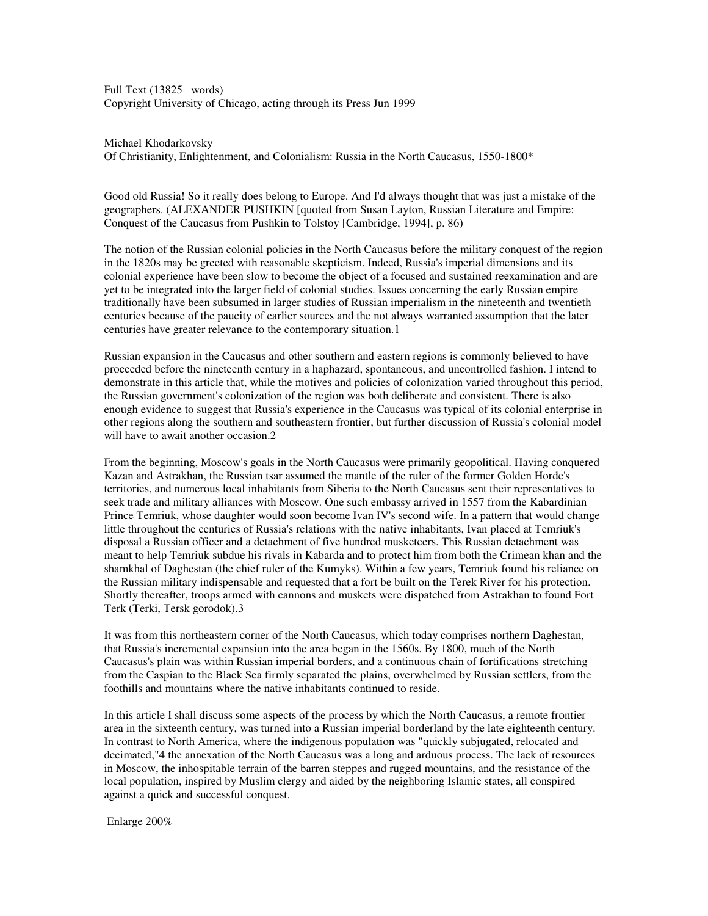Full Text (13825 words) Copyright University of Chicago, acting through its Press Jun 1999

# Michael Khodarkovsky Of Christianity, Enlightenment, and Colonialism: Russia in the North Caucasus, 1550-1800\*

Good old Russia! So it really does belong to Europe. And I'd always thought that was just a mistake of the geographers. (ALEXANDER PUSHKIN [quoted from Susan Layton, Russian Literature and Empire: Conquest of the Caucasus from Pushkin to Tolstoy [Cambridge, 1994], p. 86)

The notion of the Russian colonial policies in the North Caucasus before the military conquest of the region in the 1820s may be greeted with reasonable skepticism. Indeed, Russia's imperial dimensions and its colonial experience have been slow to become the object of a focused and sustained reexamination and are yet to be integrated into the larger field of colonial studies. Issues concerning the early Russian empire traditionally have been subsumed in larger studies of Russian imperialism in the nineteenth and twentieth centuries because of the paucity of earlier sources and the not always warranted assumption that the later centuries have greater relevance to the contemporary situation.1

Russian expansion in the Caucasus and other southern and eastern regions is commonly believed to have proceeded before the nineteenth century in a haphazard, spontaneous, and uncontrolled fashion. I intend to demonstrate in this article that, while the motives and policies of colonization varied throughout this period, the Russian government's colonization of the region was both deliberate and consistent. There is also enough evidence to suggest that Russia's experience in the Caucasus was typical of its colonial enterprise in other regions along the southern and southeastern frontier, but further discussion of Russia's colonial model will have to await another occasion.2

From the beginning, Moscow's goals in the North Caucasus were primarily geopolitical. Having conquered Kazan and Astrakhan, the Russian tsar assumed the mantle of the ruler of the former Golden Horde's territories, and numerous local inhabitants from Siberia to the North Caucasus sent their representatives to seek trade and military alliances with Moscow. One such embassy arrived in 1557 from the Kabardinian Prince Temriuk, whose daughter would soon become Ivan IV's second wife. In a pattern that would change little throughout the centuries of Russia's relations with the native inhabitants, Ivan placed at Temriuk's disposal a Russian officer and a detachment of five hundred musketeers. This Russian detachment was meant to help Temriuk subdue his rivals in Kabarda and to protect him from both the Crimean khan and the shamkhal of Daghestan (the chief ruler of the Kumyks). Within a few years, Temriuk found his reliance on the Russian military indispensable and requested that a fort be built on the Terek River for his protection. Shortly thereafter, troops armed with cannons and muskets were dispatched from Astrakhan to found Fort Terk (Terki, Tersk gorodok).3

It was from this northeastern corner of the North Caucasus, which today comprises northern Daghestan, that Russia's incremental expansion into the area began in the 1560s. By 1800, much of the North Caucasus's plain was within Russian imperial borders, and a continuous chain of fortifications stretching from the Caspian to the Black Sea firmly separated the plains, overwhelmed by Russian settlers, from the foothills and mountains where the native inhabitants continued to reside.

In this article I shall discuss some aspects of the process by which the North Caucasus, a remote frontier area in the sixteenth century, was turned into a Russian imperial borderland by the late eighteenth century. In contrast to North America, where the indigenous population was "quickly subjugated, relocated and decimated,"4 the annexation of the North Caucasus was a long and arduous process. The lack of resources in Moscow, the inhospitable terrain of the barren steppes and rugged mountains, and the resistance of the local population, inspired by Muslim clergy and aided by the neighboring Islamic states, all conspired against a quick and successful conquest.

Enlarge 200%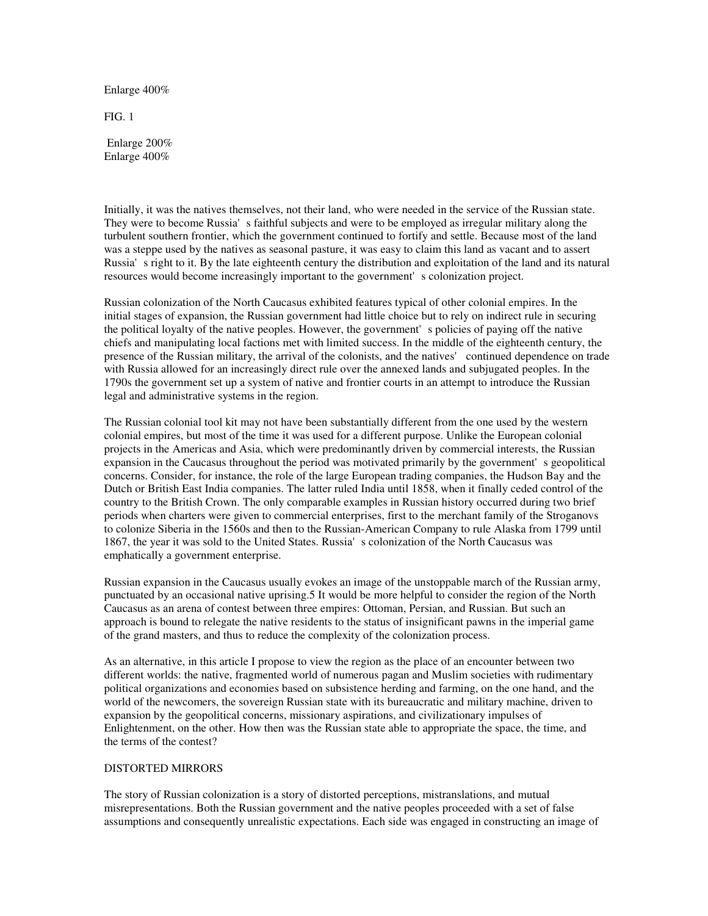Enlarge 400%

FIG. 1

Enlarge 200% Enlarge 400%

Initially, it was the natives themselves, not their land, who were needed in the service of the Russian state. They were to become Russia's faithful subjects and were to be employed as irregular military along the turbulent southern frontier, which the government continued to fortify and settle. Because most of the land was a steppe used by the natives as seasonal pasture, it was easy to claim this land as vacant and to assert Russia's right to it. By the late eighteenth century the distribution and exploitation of the land and its natural resources would become increasingly important to the government's colonization project.

Russian colonization of the North Caucasus exhibited features typical of other colonial empires. In the initial stages of expansion, the Russian government had little choice but to rely on indirect rule in securing the political loyalty of the native peoples. However, the government's policies of paying off the native chiefs and manipulating local factions met with limited success. In the middle of the eighteenth century, the presence of the Russian military, the arrival of the colonists, and the natives' continued dependence on trade with Russia allowed for an increasingly direct rule over the annexed lands and subjugated peoples. In the 1790s the government set up a system of native and frontier courts in an attempt to introduce the Russian legal and administrative systems in the region.

The Russian colonial tool kit may not have been substantially different from the one used by the western colonial empires, but most of the time it was used for a different purpose. Unlike the European colonial projects in the Americas and Asia, which were predominantly driven by commercial interests, the Russian expansion in the Caucasus throughout the period was motivated primarily by the government's geopolitical concerns. Consider, for instance, the role of the large European trading companies, the Hudson Bay and the Dutch or British East India companies. The latter ruled India until 1858, when it finally ceded control of the country to the British Crown. The only comparable examples in Russian history occurred during two brief periods when charters were given to commercial enterprises, first to the merchant family of the Stroganovs to colonize Siberia in the 1560s and then to the Russian-American Company to rule Alaska from 1799 until 1867, the year it was sold to the United States. Russia's colonization of the North Caucasus was emphatically a government enterprise.

Russian expansion in the Caucasus usually evokes an image of the unstoppable march of the Russian army, punctuated by an occasional native uprising.5 It would be more helpful to consider the region of the North Caucasus as an arena of contest between three empires: Ottoman, Persian, and Russian. But such an approach is bound to relegate the native residents to the status of insignificant pawns in the imperial game of the grand masters, and thus to reduce the complexity of the colonization process.

As an alternative, in this article I propose to view the region as the place of an encounter between two different worlds: the native, fragmented world of numerous pagan and Muslim societies with rudimentary political organizations and economies based on subsistence herding and farming, on the one hand, and the world of the newcomers, the sovereign Russian state with its bureaucratic and military machine, driven to expansion by the geopolitical concerns, missionary aspirations, and civilizationary impulses of Enlightenment, on the other. How then was the Russian state able to appropriate the space, the time, and the terms of the contest?

#### DISTORTED MIRRORS

The story of Russian colonization is a story of distorted perceptions, mistranslations, and mutual misrepresentations. Both the Russian government and the native peoples proceeded with a set of false assumptions and consequently unrealistic expectations. Each side was engaged in constructing an image of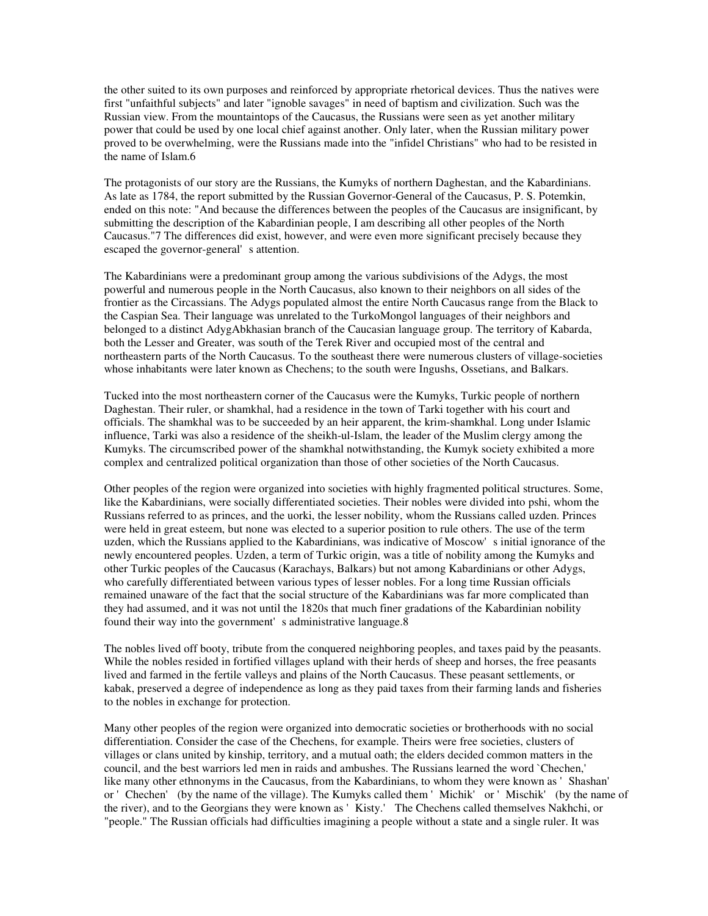the other suited to its own purposes and reinforced by appropriate rhetorical devices. Thus the natives were first "unfaithful subjects" and later "ignoble savages" in need of baptism and civilization. Such was the Russian view. From the mountaintops of the Caucasus, the Russians were seen as yet another military power that could be used by one local chief against another. Only later, when the Russian military power proved to be overwhelming, were the Russians made into the "infidel Christians" who had to be resisted in the name of Islam.6

The protagonists of our story are the Russians, the Kumyks of northern Daghestan, and the Kabardinians. As late as 1784, the report submitted by the Russian Governor-General of the Caucasus, P. S. Potemkin, ended on this note: "And because the differences between the peoples of the Caucasus are insignificant, by submitting the description of the Kabardinian people, I am describing all other peoples of the North Caucasus."7 The differences did exist, however, and were even more significant precisely because they escaped the governor-general's attention.

The Kabardinians were a predominant group among the various subdivisions of the Adygs, the most powerful and numerous people in the North Caucasus, also known to their neighbors on all sides of the frontier as the Circassians. The Adygs populated almost the entire North Caucasus range from the Black to the Caspian Sea. Their language was unrelated to the TurkoMongol languages of their neighbors and belonged to a distinct AdygAbkhasian branch of the Caucasian language group. The territory of Kabarda, both the Lesser and Greater, was south of the Terek River and occupied most of the central and northeastern parts of the North Caucasus. To the southeast there were numerous clusters of village-societies whose inhabitants were later known as Chechens; to the south were Ingushs, Ossetians, and Balkars.

Tucked into the most northeastern corner of the Caucasus were the Kumyks, Turkic people of northern Daghestan. Their ruler, or shamkhal, had a residence in the town of Tarki together with his court and officials. The shamkhal was to be succeeded by an heir apparent, the krim-shamkhal. Long under Islamic influence, Tarki was also a residence of the sheikh-ul-Islam, the leader of the Muslim clergy among the Kumyks. The circumscribed power of the shamkhal notwithstanding, the Kumyk society exhibited a more complex and centralized political organization than those of other societies of the North Caucasus.

Other peoples of the region were organized into societies with highly fragmented political structures. Some, like the Kabardinians, were socially differentiated societies. Their nobles were divided into pshi, whom the Russians referred to as princes, and the uorki, the lesser nobility, whom the Russians called uzden. Princes were held in great esteem, but none was elected to a superior position to rule others. The use of the term uzden, which the Russians applied to the Kabardinians, was indicative of Moscow's initial ignorance of the newly encountered peoples. Uzden, a term of Turkic origin, was a title of nobility among the Kumyks and other Turkic peoples of the Caucasus (Karachays, Balkars) but not among Kabardinians or other Adygs, who carefully differentiated between various types of lesser nobles. For a long time Russian officials remained unaware of the fact that the social structure of the Kabardinians was far more complicated than they had assumed, and it was not until the 1820s that much finer gradations of the Kabardinian nobility found their way into the government's administrative language.8

The nobles lived off booty, tribute from the conquered neighboring peoples, and taxes paid by the peasants. While the nobles resided in fortified villages upland with their herds of sheep and horses, the free peasants lived and farmed in the fertile valleys and plains of the North Caucasus. These peasant settlements, or kabak, preserved a degree of independence as long as they paid taxes from their farming lands and fisheries to the nobles in exchange for protection.

Many other peoples of the region were organized into democratic societies or brotherhoods with no social differentiation. Consider the case of the Chechens, for example. Theirs were free societies, clusters of villages or clans united by kinship, territory, and a mutual oath; the elders decided common matters in the council, and the best warriors led men in raids and ambushes. The Russians learned the word `Chechen,' like many other ethnonyms in the Caucasus, from the Kabardinians, to whom they were known as 'Shashan' or 'Chechen' (by the name of the village). The Kumyks called them 'Michik' or 'Mischik' (by the name of the river), and to the Georgians they were known as 'Kisty.' The Chechens called themselves Nakhchi, or "people." The Russian officials had difficulties imagining a people without a state and a single ruler. It was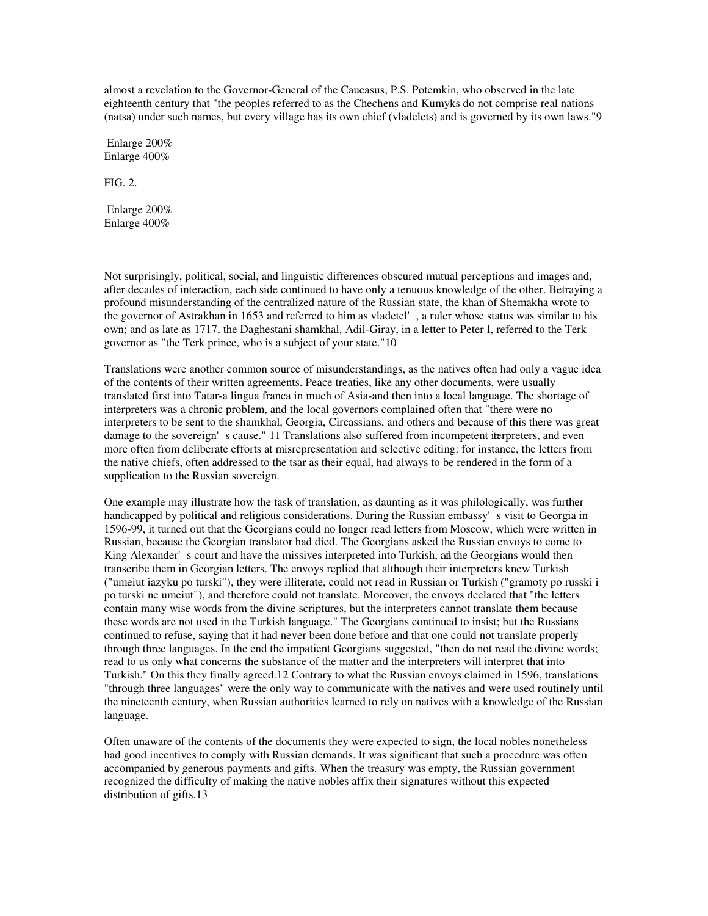almost a revelation to the Governor-General of the Caucasus, P.S. Potemkin, who observed in the late eighteenth century that "the peoples referred to as the Chechens and Kumyks do not comprise real nations (natsa) under such names, but every village has its own chief (vladelets) and is governed by its own laws."9

Enlarge 200% Enlarge 400%

FIG. 2.

Enlarge 200% Enlarge 400%

Not surprisingly, political, social, and linguistic differences obscured mutual perceptions and images and, after decades of interaction, each side continued to have only a tenuous knowledge of the other. Betraying a profound misunderstanding of the centralized nature of the Russian state, the khan of Shemakha wrote to the governor of Astrakhan in 1653 and referred to him as vladetel', a ruler whose status was similar to his own; and as late as 1717, the Daghestani shamkhal, Adil-Giray, in a letter to Peter I, referred to the Terk governor as "the Terk prince, who is a subject of your state."10

Translations were another common source of misunderstandings, as the natives often had only a vague idea of the contents of their written agreements. Peace treaties, like any other documents, were usually translated first into Tatar-a lingua franca in much of Asia-and then into a local language. The shortage of interpreters was a chronic problem, and the local governors complained often that "there were no interpreters to be sent to the shamkhal, Georgia, Circassians, and others and because of this there was great damage to the sovereign's cause." 11 Translations also suffered from incompetent iterpreters, and even more often from deliberate efforts at misrepresentation and selective editing: for instance, the letters from the native chiefs, often addressed to the tsar as their equal, had always to be rendered in the form of a supplication to the Russian sovereign.

One example may illustrate how the task of translation, as daunting as it was philologically, was further handicapped by political and religious considerations. During the Russian embassy's visit to Georgia in 1596-99, it turned out that the Georgians could no longer read letters from Moscow, which were written in Russian, because the Georgian translator had died. The Georgians asked the Russian envoys to come to King Alexander's court and have the missives interpreted into Turkish, ad the Georgians would then transcribe them in Georgian letters. The envoys replied that although their interpreters knew Turkish ("umeiut iazyku po turski"), they were illiterate, could not read in Russian or Turkish ("gramoty po russki i po turski ne umeiut"), and therefore could not translate. Moreover, the envoys declared that "the letters contain many wise words from the divine scriptures, but the interpreters cannot translate them because these words are not used in the Turkish language." The Georgians continued to insist; but the Russians continued to refuse, saying that it had never been done before and that one could not translate properly through three languages. In the end the impatient Georgians suggested, "then do not read the divine words; read to us only what concerns the substance of the matter and the interpreters will interpret that into Turkish." On this they finally agreed.12 Contrary to what the Russian envoys claimed in 1596, translations "through three languages" were the only way to communicate with the natives and were used routinely until the nineteenth century, when Russian authorities learned to rely on natives with a knowledge of the Russian language.

Often unaware of the contents of the documents they were expected to sign, the local nobles nonetheless had good incentives to comply with Russian demands. It was significant that such a procedure was often accompanied by generous payments and gifts. When the treasury was empty, the Russian government recognized the difficulty of making the native nobles affix their signatures without this expected distribution of gifts.13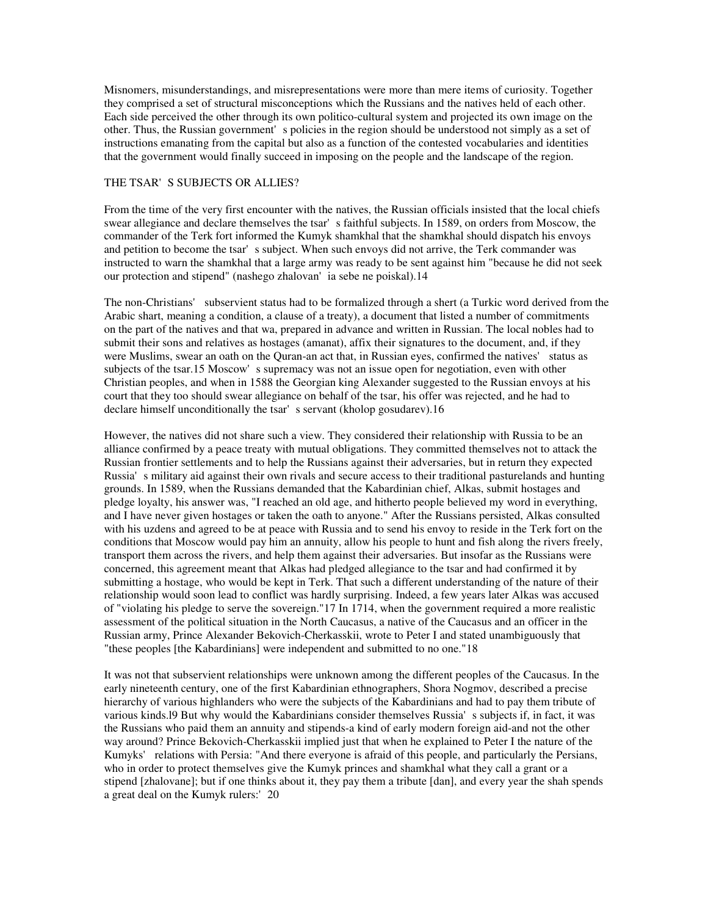Misnomers, misunderstandings, and misrepresentations were more than mere items of curiosity. Together they comprised a set of structural misconceptions which the Russians and the natives held of each other. Each side perceived the other through its own politico-cultural system and projected its own image on the other. Thus, the Russian government's policies in the region should be understood not simply as a set of instructions emanating from the capital but also as a function of the contested vocabularies and identities that the government would finally succeed in imposing on the people and the landscape of the region.

## THE TSAR'S SUBJECTS OR ALLIES?

From the time of the very first encounter with the natives, the Russian officials insisted that the local chiefs swear allegiance and declare themselves the tsar's faithful subjects. In 1589, on orders from Moscow, the commander of the Terk fort informed the Kumyk shamkhal that the shamkhal should dispatch his envoys and petition to become the tsar's subject. When such envoys did not arrive, the Terk commander was instructed to warn the shamkhal that a large army was ready to be sent against him "because he did not seek our protection and stipend" (nashego zhalovan'ia sebe ne poiskal).14

The non-Christians' subservient status had to be formalized through a shert (a Turkic word derived from the Arabic shart, meaning a condition, a clause of a treaty), a document that listed a number of commitments on the part of the natives and that wa, prepared in advance and written in Russian. The local nobles had to submit their sons and relatives as hostages (amanat), affix their signatures to the document, and, if they were Muslims, swear an oath on the Quran-an act that, in Russian eyes, confirmed the natives' status as subjects of the tsar.15 Moscow's supremacy was not an issue open for negotiation, even with other Christian peoples, and when in 1588 the Georgian king Alexander suggested to the Russian envoys at his court that they too should swear allegiance on behalf of the tsar, his offer was rejected, and he had to declare himself unconditionally the tsar's servant (kholop gosudarev).16

However, the natives did not share such a view. They considered their relationship with Russia to be an alliance confirmed by a peace treaty with mutual obligations. They committed themselves not to attack the Russian frontier settlements and to help the Russians against their adversaries, but in return they expected Russia's military aid against their own rivals and secure access to their traditional pasturelands and hunting grounds. In 1589, when the Russians demanded that the Kabardinian chief, Alkas, submit hostages and pledge loyalty, his answer was, "I reached an old age, and hitherto people believed my word in everything, and I have never given hostages or taken the oath to anyone." After the Russians persisted, Alkas consulted with his uzdens and agreed to be at peace with Russia and to send his envoy to reside in the Terk fort on the conditions that Moscow would pay him an annuity, allow his people to hunt and fish along the rivers freely, transport them across the rivers, and help them against their adversaries. But insofar as the Russians were concerned, this agreement meant that Alkas had pledged allegiance to the tsar and had confirmed it by submitting a hostage, who would be kept in Terk. That such a different understanding of the nature of their relationship would soon lead to conflict was hardly surprising. Indeed, a few years later Alkas was accused of "violating his pledge to serve the sovereign."17 In 1714, when the government required a more realistic assessment of the political situation in the North Caucasus, a native of the Caucasus and an officer in the Russian army, Prince Alexander Bekovich-Cherkasskii, wrote to Peter I and stated unambiguously that "these peoples [the Kabardinians] were independent and submitted to no one."18

It was not that subservient relationships were unknown among the different peoples of the Caucasus. In the early nineteenth century, one of the first Kabardinian ethnographers, Shora Nogmov, described a precise hierarchy of various highlanders who were the subjects of the Kabardinians and had to pay them tribute of various kinds.l9 But why would the Kabardinians consider themselves Russia's subjects if, in fact, it was the Russians who paid them an annuity and stipends-a kind of early modern foreign aid-and not the other way around? Prince Bekovich-Cherkasskii implied just that when he explained to Peter I the nature of the Kumyks' relations with Persia: "And there everyone is afraid of this people, and particularly the Persians, who in order to protect themselves give the Kumyk princes and shamkhal what they call a grant or a stipend [zhalovane]; but if one thinks about it, they pay them a tribute [dan], and every year the shah spends a great deal on the Kumyk rulers:'20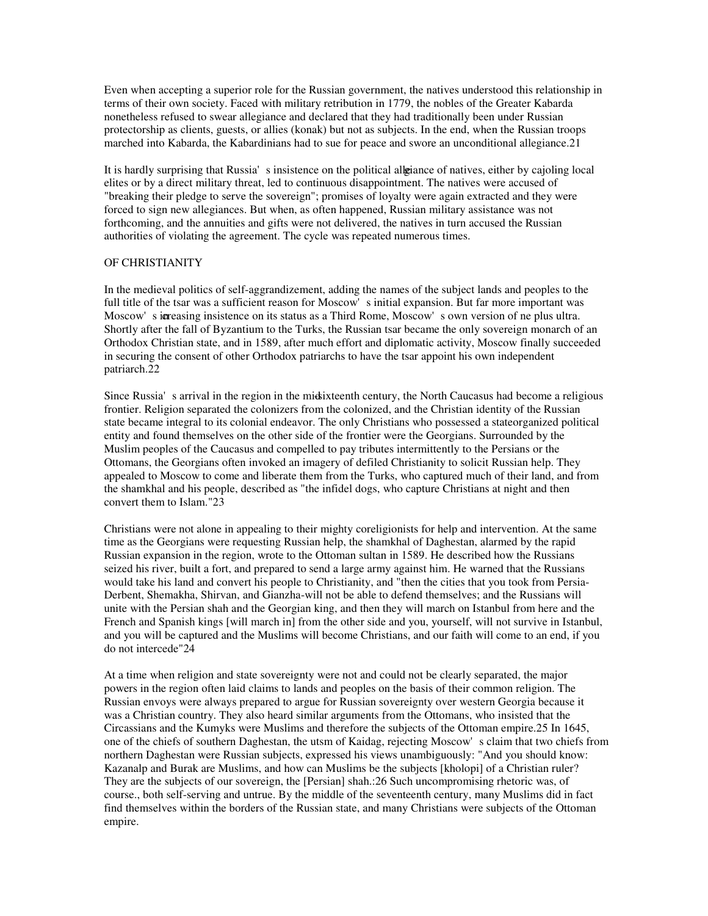Even when accepting a superior role for the Russian government, the natives understood this relationship in terms of their own society. Faced with military retribution in 1779, the nobles of the Greater Kabarda nonetheless refused to swear allegiance and declared that they had traditionally been under Russian protectorship as clients, guests, or allies (konak) but not as subjects. In the end, when the Russian troops marched into Kabarda, the Kabardinians had to sue for peace and swore an unconditional allegiance.21

It is hardly surprising that Russia's insistence on the political allgeiance of natives, either by cajoling local elites or by a direct military threat, led to continuous disappointment. The natives were accused of "breaking their pledge to serve the sovereign"; promises of loyalty were again extracted and they were forced to sign new allegiances. But when, as often happened, Russian military assistance was not forthcoming, and the annuities and gifts were not delivered, the natives in turn accused the Russian authorities of violating the agreement. The cycle was repeated numerous times.

# OF CHRISTIANITY

In the medieval politics of self-aggrandizement, adding the names of the subject lands and peoples to the full title of the tsar was a sufficient reason for Moscow's initial expansion. But far more important was Moscow's icnreasing insistence on its status as a Third Rome, Moscow's own version of ne plus ultra. Shortly after the fall of Byzantium to the Turks, the Russian tsar became the only sovereign monarch of an Orthodox Christian state, and in 1589, after much effort and diplomatic activity, Moscow finally succeeded in securing the consent of other Orthodox patriarchs to have the tsar appoint his own independent patriarch.22

Since Russia's arrival in the region in the midixteenth century, the North Caucasus had become a religious frontier. Religion separated the colonizers from the colonized, and the Christian identity of the Russian state became integral to its colonial endeavor. The only Christians who possessed a stateorganized political entity and found themselves on the other side of the frontier were the Georgians. Surrounded by the Muslim peoples of the Caucasus and compelled to pay tributes intermittently to the Persians or the Ottomans, the Georgians often invoked an imagery of defiled Christianity to solicit Russian help. They appealed to Moscow to come and liberate them from the Turks, who captured much of their land, and from the shamkhal and his people, described as "the infidel dogs, who capture Christians at night and then convert them to Islam."23

Christians were not alone in appealing to their mighty coreligionists for help and intervention. At the same time as the Georgians were requesting Russian help, the shamkhal of Daghestan, alarmed by the rapid Russian expansion in the region, wrote to the Ottoman sultan in 1589. He described how the Russians seized his river, built a fort, and prepared to send a large army against him. He warned that the Russians would take his land and convert his people to Christianity, and "then the cities that you took from Persia-Derbent, Shemakha, Shirvan, and Gianzha-will not be able to defend themselves; and the Russians will unite with the Persian shah and the Georgian king, and then they will march on Istanbul from here and the French and Spanish kings [will march in] from the other side and you, yourself, will not survive in Istanbul, and you will be captured and the Muslims will become Christians, and our faith will come to an end, if you do not intercede"24

At a time when religion and state sovereignty were not and could not be clearly separated, the major powers in the region often laid claims to lands and peoples on the basis of their common religion. The Russian envoys were always prepared to argue for Russian sovereignty over western Georgia because it was a Christian country. They also heard similar arguments from the Ottomans, who insisted that the Circassians and the Kumyks were Muslims and therefore the subjects of the Ottoman empire.25 In 1645, one of the chiefs of southern Daghestan, the utsm of Kaidag, rejecting Moscow's claim that two chiefs from northern Daghestan were Russian subjects, expressed his views unambiguously: "And you should know: Kazanalp and Burak are Muslims, and how can Muslims be the subjects [kholopi] of a Christian ruler? They are the subjects of our sovereign, the [Persian] shah.:26 Such uncompromising rhetoric was, of course., both self-serving and untrue. By the middle of the seventeenth century, many Muslims did in fact find themselves within the borders of the Russian state, and many Christians were subjects of the Ottoman empire.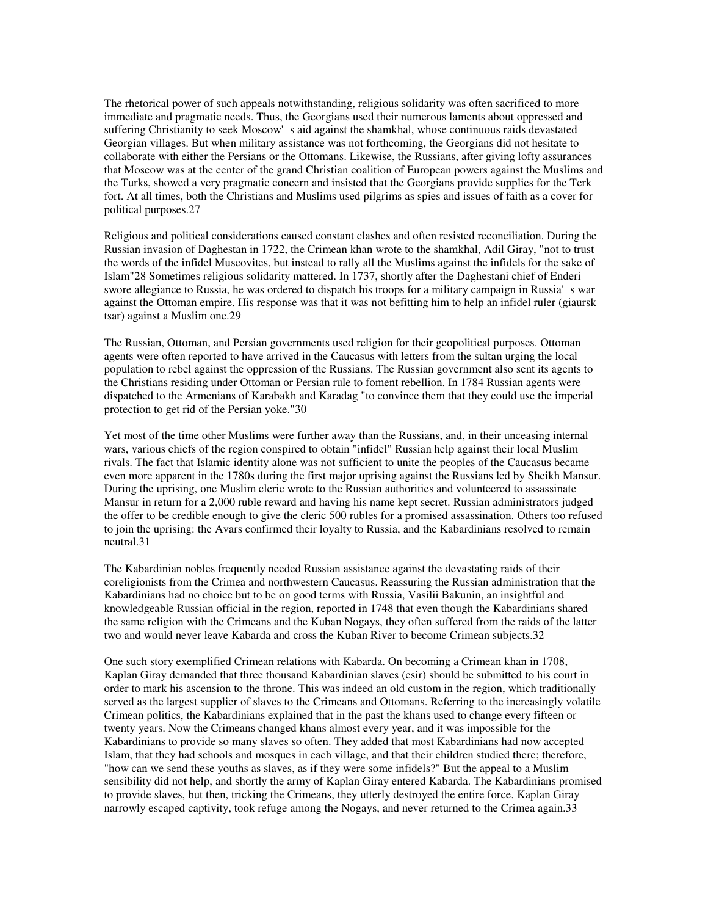The rhetorical power of such appeals notwithstanding, religious solidarity was often sacrificed to more immediate and pragmatic needs. Thus, the Georgians used their numerous laments about oppressed and suffering Christianity to seek Moscow's aid against the shamkhal, whose continuous raids devastated Georgian villages. But when military assistance was not forthcoming, the Georgians did not hesitate to collaborate with either the Persians or the Ottomans. Likewise, the Russians, after giving lofty assurances that Moscow was at the center of the grand Christian coalition of European powers against the Muslims and the Turks, showed a very pragmatic concern and insisted that the Georgians provide supplies for the Terk fort. At all times, both the Christians and Muslims used pilgrims as spies and issues of faith as a cover for political purposes.27

Religious and political considerations caused constant clashes and often resisted reconciliation. During the Russian invasion of Daghestan in 1722, the Crimean khan wrote to the shamkhal, Adil Giray, "not to trust the words of the infidel Muscovites, but instead to rally all the Muslims against the infidels for the sake of Islam"28 Sometimes religious solidarity mattered. In 1737, shortly after the Daghestani chief of Enderi swore allegiance to Russia, he was ordered to dispatch his troops for a military campaign in Russia's war against the Ottoman empire. His response was that it was not befitting him to help an infidel ruler (giaursk tsar) against a Muslim one.29

The Russian, Ottoman, and Persian governments used religion for their geopolitical purposes. Ottoman agents were often reported to have arrived in the Caucasus with letters from the sultan urging the local population to rebel against the oppression of the Russians. The Russian government also sent its agents to the Christians residing under Ottoman or Persian rule to foment rebellion. In 1784 Russian agents were dispatched to the Armenians of Karabakh and Karadag "to convince them that they could use the imperial protection to get rid of the Persian yoke."30

Yet most of the time other Muslims were further away than the Russians, and, in their unceasing internal wars, various chiefs of the region conspired to obtain "infidel" Russian help against their local Muslim rivals. The fact that Islamic identity alone was not sufficient to unite the peoples of the Caucasus became even more apparent in the 1780s during the first major uprising against the Russians led by Sheikh Mansur. During the uprising, one Muslim cleric wrote to the Russian authorities and volunteered to assassinate Mansur in return for a 2,000 ruble reward and having his name kept secret. Russian administrators judged the offer to be credible enough to give the cleric 500 rubles for a promised assassination. Others too refused to join the uprising: the Avars confirmed their loyalty to Russia, and the Kabardinians resolved to remain neutral.31

The Kabardinian nobles frequently needed Russian assistance against the devastating raids of their coreligionists from the Crimea and northwestern Caucasus. Reassuring the Russian administration that the Kabardinians had no choice but to be on good terms with Russia, Vasilii Bakunin, an insightful and knowledgeable Russian official in the region, reported in 1748 that even though the Kabardinians shared the same religion with the Crimeans and the Kuban Nogays, they often suffered from the raids of the latter two and would never leave Kabarda and cross the Kuban River to become Crimean subjects.32

One such story exemplified Crimean relations with Kabarda. On becoming a Crimean khan in 1708, Kaplan Giray demanded that three thousand Kabardinian slaves (esir) should be submitted to his court in order to mark his ascension to the throne. This was indeed an old custom in the region, which traditionally served as the largest supplier of slaves to the Crimeans and Ottomans. Referring to the increasingly volatile Crimean politics, the Kabardinians explained that in the past the khans used to change every fifteen or twenty years. Now the Crimeans changed khans almost every year, and it was impossible for the Kabardinians to provide so many slaves so often. They added that most Kabardinians had now accepted Islam, that they had schools and mosques in each village, and that their children studied there; therefore, "how can we send these youths as slaves, as if they were some infidels?" But the appeal to a Muslim sensibility did not help, and shortly the army of Kaplan Giray entered Kabarda. The Kabardinians promised to provide slaves, but then, tricking the Crimeans, they utterly destroyed the entire force. Kaplan Giray narrowly escaped captivity, took refuge among the Nogays, and never returned to the Crimea again.33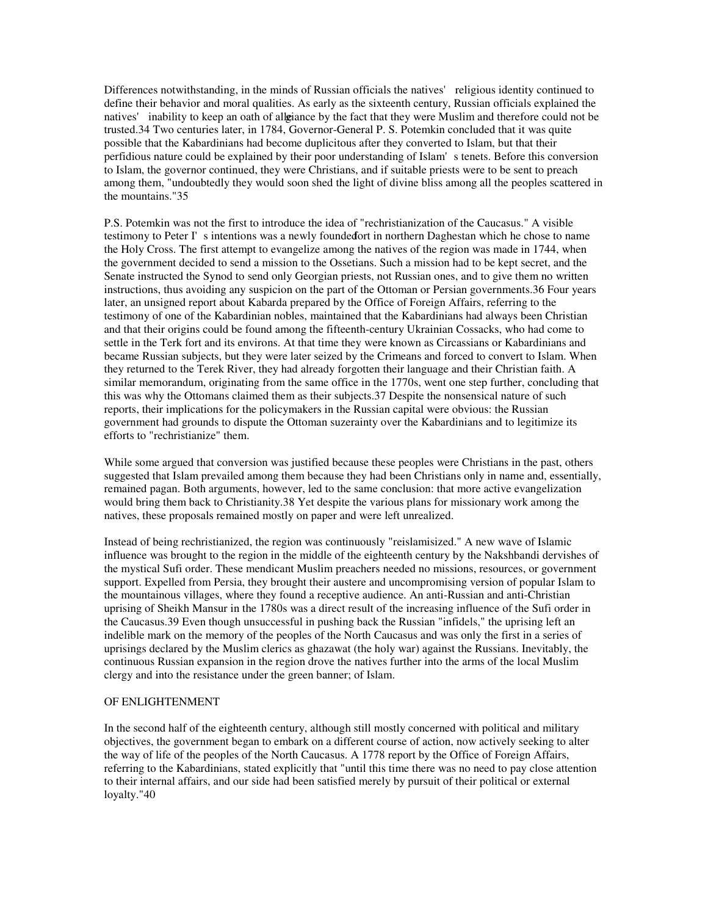Differences notwithstanding, in the minds of Russian officials the natives' religious identity continued to define their behavior and moral qualities. As early as the sixteenth century, Russian officials explained the natives' inability to keep an oath of allget and show the fact that they were Muslim and therefore could not be trusted.34 Two centuries later, in 1784, Governor-General P. S. Potemkin concluded that it was quite possible that the Kabardinians had become duplicitous after they converted to Islam, but that their perfidious nature could be explained by their poor understanding of Islam's tenets. Before this conversion to Islam, the governor continued, they were Christians, and if suitable priests were to be sent to preach among them, "undoubtedly they would soon shed the light of divine bliss among all the peoples scattered in the mountains."35

P.S. Potemkin was not the first to introduce the idea of "rechristianization of the Caucasus." A visible testimony to Peter I's intentions was a newly founded fort in northern Daghestan which he chose to name the Holy Cross. The first attempt to evangelize among the natives of the region was made in 1744, when the government decided to send a mission to the Ossetians. Such a mission had to be kept secret, and the Senate instructed the Synod to send only Georgian priests, not Russian ones, and to give them no written instructions, thus avoiding any suspicion on the part of the Ottoman or Persian governments.36 Four years later, an unsigned report about Kabarda prepared by the Office of Foreign Affairs, referring to the testimony of one of the Kabardinian nobles, maintained that the Kabardinians had always been Christian and that their origins could be found among the fifteenth-century Ukrainian Cossacks, who had come to settle in the Terk fort and its environs. At that time they were known as Circassians or Kabardinians and became Russian subjects, but they were later seized by the Crimeans and forced to convert to Islam. When they returned to the Terek River, they had already forgotten their language and their Christian faith. A similar memorandum, originating from the same office in the 1770s, went one step further, concluding that this was why the Ottomans claimed them as their subjects.37 Despite the nonsensical nature of such reports, their implications for the policymakers in the Russian capital were obvious: the Russian government had grounds to dispute the Ottoman suzerainty over the Kabardinians and to legitimize its efforts to "rechristianize" them.

While some argued that conversion was justified because these peoples were Christians in the past, others suggested that Islam prevailed among them because they had been Christians only in name and, essentially, remained pagan. Both arguments, however, led to the same conclusion: that more active evangelization would bring them back to Christianity.38 Yet despite the various plans for missionary work among the natives, these proposals remained mostly on paper and were left unrealized.

Instead of being rechristianized, the region was continuously "reislamisized." A new wave of Islamic influence was brought to the region in the middle of the eighteenth century by the Nakshbandi dervishes of the mystical Sufi order. These mendicant Muslim preachers needed no missions, resources, or government support. Expelled from Persia, they brought their austere and uncompromising version of popular Islam to the mountainous villages, where they found a receptive audience. An anti-Russian and anti-Christian uprising of Sheikh Mansur in the 1780s was a direct result of the increasing influence of the Sufi order in the Caucasus.39 Even though unsuccessful in pushing back the Russian "infidels," the uprising left an indelible mark on the memory of the peoples of the North Caucasus and was only the first in a series of uprisings declared by the Muslim clerics as ghazawat (the holy war) against the Russians. Inevitably, the continuous Russian expansion in the region drove the natives further into the arms of the local Muslim clergy and into the resistance under the green banner; of Islam.

## OF ENLIGHTENMENT

In the second half of the eighteenth century, although still mostly concerned with political and military objectives, the government began to embark on a different course of action, now actively seeking to alter the way of life of the peoples of the North Caucasus. A 1778 report by the Office of Foreign Affairs, referring to the Kabardinians, stated explicitly that "until this time there was no need to pay close attention to their internal affairs, and our side had been satisfied merely by pursuit of their political or external loyalty."40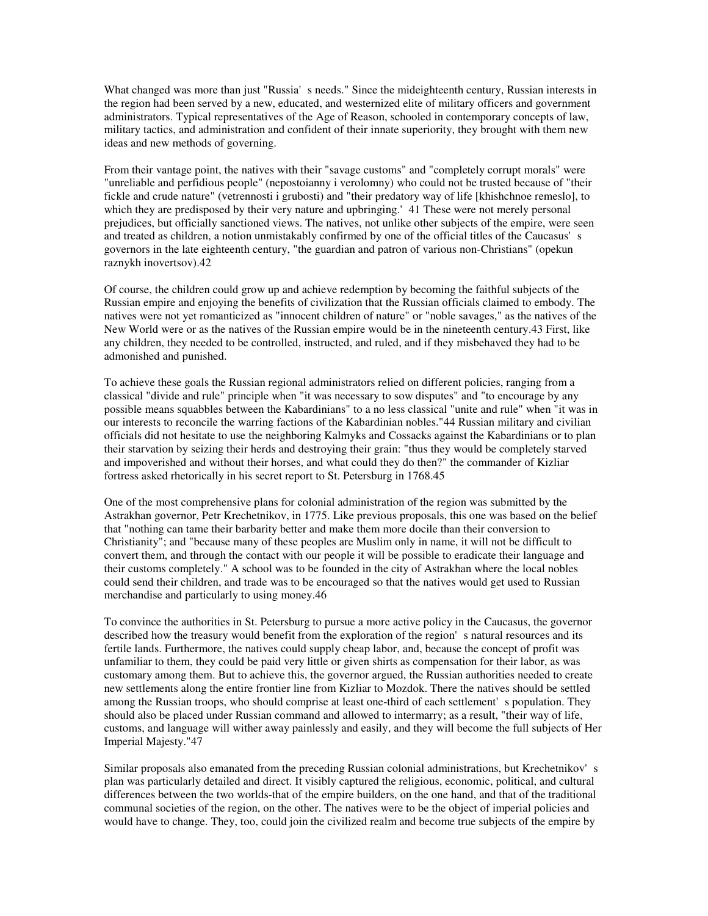What changed was more than just "Russia's needs." Since the mideighteenth century, Russian interests in the region had been served by a new, educated, and westernized elite of military officers and government administrators. Typical representatives of the Age of Reason, schooled in contemporary concepts of law, military tactics, and administration and confident of their innate superiority, they brought with them new ideas and new methods of governing.

From their vantage point, the natives with their "savage customs" and "completely corrupt morals" were "unreliable and perfidious people" (nepostoianny i verolomny) who could not be trusted because of "their fickle and crude nature" (vetrennosti i grubosti) and "their predatory way of life [khishchnoe remeslo], to which they are predisposed by their very nature and upbringing.' 41 These were not merely personal prejudices, but officially sanctioned views. The natives, not unlike other subjects of the empire, were seen and treated as children, a notion unmistakably confirmed by one of the official titles of the Caucasus's governors in the late eighteenth century, "the guardian and patron of various non-Christians" (opekun raznykh inovertsov).42

Of course, the children could grow up and achieve redemption by becoming the faithful subjects of the Russian empire and enjoying the benefits of civilization that the Russian officials claimed to embody. The natives were not yet romanticized as "innocent children of nature" or "noble savages," as the natives of the New World were or as the natives of the Russian empire would be in the nineteenth century.43 First, like any children, they needed to be controlled, instructed, and ruled, and if they misbehaved they had to be admonished and punished.

To achieve these goals the Russian regional administrators relied on different policies, ranging from a classical "divide and rule" principle when "it was necessary to sow disputes" and "to encourage by any possible means squabbles between the Kabardinians" to a no less classical "unite and rule" when "it was in our interests to reconcile the warring factions of the Kabardinian nobles."44 Russian military and civilian officials did not hesitate to use the neighboring Kalmyks and Cossacks against the Kabardinians or to plan their starvation by seizing their herds and destroying their grain: "thus they would be completely starved and impoverished and without their horses, and what could they do then?" the commander of Kizliar fortress asked rhetorically in his secret report to St. Petersburg in 1768.45

One of the most comprehensive plans for colonial administration of the region was submitted by the Astrakhan governor, Petr Krechetnikov, in 1775. Like previous proposals, this one was based on the belief that "nothing can tame their barbarity better and make them more docile than their conversion to Christianity"; and "because many of these peoples are Muslim only in name, it will not be difficult to convert them, and through the contact with our people it will be possible to eradicate their language and their customs completely." A school was to be founded in the city of Astrakhan where the local nobles could send their children, and trade was to be encouraged so that the natives would get used to Russian merchandise and particularly to using money.46

To convince the authorities in St. Petersburg to pursue a more active policy in the Caucasus, the governor described how the treasury would benefit from the exploration of the region's natural resources and its fertile lands. Furthermore, the natives could supply cheap labor, and, because the concept of profit was unfamiliar to them, they could be paid very little or given shirts as compensation for their labor, as was customary among them. But to achieve this, the governor argued, the Russian authorities needed to create new settlements along the entire frontier line from Kizliar to Mozdok. There the natives should be settled among the Russian troops, who should comprise at least one-third of each settlement's population. They should also be placed under Russian command and allowed to intermarry; as a result, "their way of life, customs, and language will wither away painlessly and easily, and they will become the full subjects of Her Imperial Majesty."47

Similar proposals also emanated from the preceding Russian colonial administrations, but Krechetnikov's plan was particularly detailed and direct. It visibly captured the religious, economic, political, and cultural differences between the two worlds-that of the empire builders, on the one hand, and that of the traditional communal societies of the region, on the other. The natives were to be the object of imperial policies and would have to change. They, too, could join the civilized realm and become true subjects of the empire by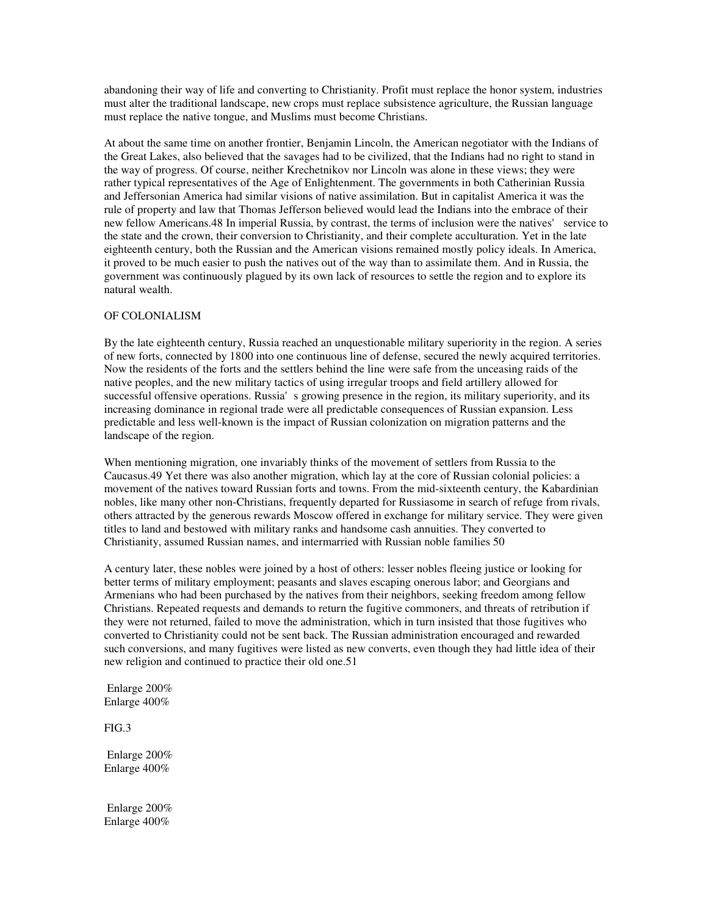abandoning their way of life and converting to Christianity. Profit must replace the honor system, industries must alter the traditional landscape, new crops must replace subsistence agriculture, the Russian language must replace the native tongue, and Muslims must become Christians.

At about the same time on another frontier, Benjamin Lincoln, the American negotiator with the Indians of the Great Lakes, also believed that the savages had to be civilized, that the Indians had no right to stand in the way of progress. Of course, neither Krechetnikov nor Lincoln was alone in these views; they were rather typical representatives of the Age of Enlightenment. The governments in both Catherinian Russia and Jeffersonian America had similar visions of native assimilation. But in capitalist America it was the rule of property and law that Thomas Jefferson believed would lead the Indians into the embrace of their new fellow Americans.48 In imperial Russia, by contrast, the terms of inclusion were the natives' service to the state and the crown, their conversion to Christianity, and their complete acculturation. Yet in the late eighteenth century, both the Russian and the American visions remained mostly policy ideals. In America, it proved to be much easier to push the natives out of the way than to assimilate them. And in Russia, the government was continuously plagued by its own lack of resources to settle the region and to explore its natural wealth.

# OF COLONIALISM

By the late eighteenth century, Russia reached an unquestionable military superiority in the region. A series of new forts, connected by 1800 into one continuous line of defense, secured the newly acquired territories. Now the residents of the forts and the settlers behind the line were safe from the unceasing raids of the native peoples, and the new military tactics of using irregular troops and field artillery allowed for successful offensive operations. Russia's growing presence in the region, its military superiority, and its increasing dominance in regional trade were all predictable consequences of Russian expansion. Less predictable and less well-known is the impact of Russian colonization on migration patterns and the landscape of the region.

When mentioning migration, one invariably thinks of the movement of settlers from Russia to the Caucasus.49 Yet there was also another migration, which lay at the core of Russian colonial policies: a movement of the natives toward Russian forts and towns. From the mid-sixteenth century, the Kabardinian nobles, like many other non-Christians, frequently departed for Russiasome in search of refuge from rivals, others attracted by the generous rewards Moscow offered in exchange for military service. They were given titles to land and bestowed with military ranks and handsome cash annuities. They converted to Christianity, assumed Russian names, and intermarried with Russian noble families 50

A century later, these nobles were joined by a host of others: lesser nobles fleeing justice or looking for better terms of military employment; peasants and slaves escaping onerous labor; and Georgians and Armenians who had been purchased by the natives from their neighbors, seeking freedom among fellow Christians. Repeated requests and demands to return the fugitive commoners, and threats of retribution if they were not returned, failed to move the administration, which in turn insisted that those fugitives who converted to Christianity could not be sent back. The Russian administration encouraged and rewarded such conversions, and many fugitives were listed as new converts, even though they had little idea of their new religion and continued to practice their old one.51

Enlarge 200% Enlarge 400%

FIG.3

Enlarge 200% Enlarge 400%

Enlarge 200% Enlarge 400%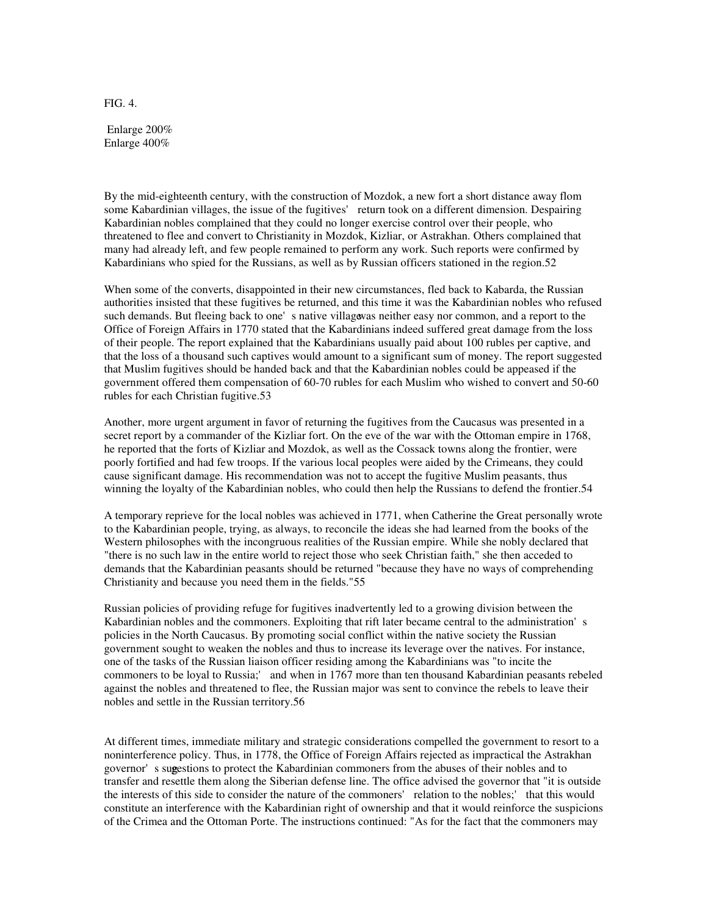FIG. 4.

Enlarge 200% Enlarge 400%

By the mid-eighteenth century, with the construction of Mozdok, a new fort a short distance away flom some Kabardinian villages, the issue of the fugitives' return took on a different dimension. Despairing Kabardinian nobles complained that they could no longer exercise control over their people, who threatened to flee and convert to Christianity in Mozdok, Kizliar, or Astrakhan. Others complained that many had already left, and few people remained to perform any work. Such reports were confirmed by Kabardinians who spied for the Russians, as well as by Russian officers stationed in the region.52

When some of the converts, disappointed in their new circumstances, fled back to Kabarda, the Russian authorities insisted that these fugitives be returned, and this time it was the Kabardinian nobles who refused such demands. But fleeing back to one's native villagewas neither easy nor common, and a report to the Office of Foreign Affairs in 1770 stated that the Kabardinians indeed suffered great damage from the loss of their people. The report explained that the Kabardinians usually paid about 100 rubles per captive, and that the loss of a thousand such captives would amount to a significant sum of money. The report suggested that Muslim fugitives should be handed back and that the Kabardinian nobles could be appeased if the government offered them compensation of 60-70 rubles for each Muslim who wished to convert and 50-60 rubles for each Christian fugitive.53

Another, more urgent argument in favor of returning the fugitives from the Caucasus was presented in a secret report by a commander of the Kizliar fort. On the eve of the war with the Ottoman empire in 1768, he reported that the forts of Kizliar and Mozdok, as well as the Cossack towns along the frontier, were poorly fortified and had few troops. If the various local peoples were aided by the Crimeans, they could cause significant damage. His recommendation was not to accept the fugitive Muslim peasants, thus winning the loyalty of the Kabardinian nobles, who could then help the Russians to defend the frontier.54

A temporary reprieve for the local nobles was achieved in 1771, when Catherine the Great personally wrote to the Kabardinian people, trying, as always, to reconcile the ideas she had learned from the books of the Western philosophes with the incongruous realities of the Russian empire. While she nobly declared that "there is no such law in the entire world to reject those who seek Christian faith," she then acceded to demands that the Kabardinian peasants should be returned "because they have no ways of comprehending Christianity and because you need them in the fields."55

Russian policies of providing refuge for fugitives inadvertently led to a growing division between the Kabardinian nobles and the commoners. Exploiting that rift later became central to the administration's policies in the North Caucasus. By promoting social conflict within the native society the Russian government sought to weaken the nobles and thus to increase its leverage over the natives. For instance, one of the tasks of the Russian liaison officer residing among the Kabardinians was "to incite the commoners to be loyal to Russia;' and when in 1767 more than ten thousand Kabardinian peasants rebeled against the nobles and threatened to flee, the Russian major was sent to convince the rebels to leave their nobles and settle in the Russian territory.56

At different times, immediate military and strategic considerations compelled the government to resort to a noninterference policy. Thus, in 1778, the Office of Foreign Affairs rejected as impractical the Astrakhan governor's suggestions to protect the Kabardinian commoners from the abuses of their nobles and to transfer and resettle them along the Siberian defense line. The office advised the governor that "it is outside the interests of this side to consider the nature of the commoners' relation to the nobles;' that this would constitute an interference with the Kabardinian right of ownership and that it would reinforce the suspicions of the Crimea and the Ottoman Porte. The instructions continued: "As for the fact that the commoners may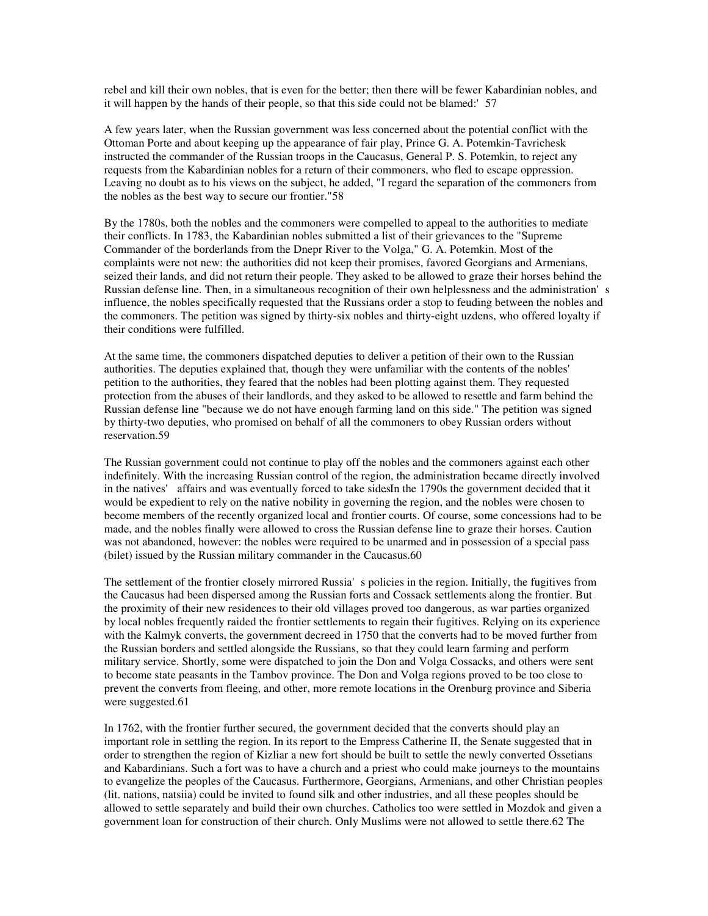rebel and kill their own nobles, that is even for the better; then there will be fewer Kabardinian nobles, and it will happen by the hands of their people, so that this side could not be blamed:'57

A few years later, when the Russian government was less concerned about the potential conflict with the Ottoman Porte and about keeping up the appearance of fair play, Prince G. A. Potemkin-Tavrichesk instructed the commander of the Russian troops in the Caucasus, General P. S. Potemkin, to reject any requests from the Kabardinian nobles for a return of their commoners, who fled to escape oppression. Leaving no doubt as to his views on the subject, he added, "I regard the separation of the commoners from the nobles as the best way to secure our frontier."58

By the 1780s, both the nobles and the commoners were compelled to appeal to the authorities to mediate their conflicts. In 1783, the Kabardinian nobles submitted a list of their grievances to the "Supreme Commander of the borderlands from the Dnepr River to the Volga," G. A. Potemkin. Most of the complaints were not new: the authorities did not keep their promises, favored Georgians and Armenians, seized their lands, and did not return their people. They asked to be allowed to graze their horses behind the Russian defense line. Then, in a simultaneous recognition of their own helplessness and the administration's influence, the nobles specifically requested that the Russians order a stop to feuding between the nobles and the commoners. The petition was signed by thirty-six nobles and thirty-eight uzdens, who offered loyalty if their conditions were fulfilled.

At the same time, the commoners dispatched deputies to deliver a petition of their own to the Russian authorities. The deputies explained that, though they were unfamiliar with the contents of the nobles' petition to the authorities, they feared that the nobles had been plotting against them. They requested protection from the abuses of their landlords, and they asked to be allowed to resettle and farm behind the Russian defense line "because we do not have enough farming land on this side." The petition was signed by thirty-two deputies, who promised on behalf of all the commoners to obey Russian orders without reservation.59

The Russian government could not continue to play off the nobles and the commoners against each other indefinitely. With the increasing Russian control of the region, the administration became directly involved in the natives' affairs and was eventually forced to take sides In the 1790s the government decided that it would be expedient to rely on the native nobility in governing the region, and the nobles were chosen to become members of the recently organized local and frontier courts. Of course, some concessions had to be made, and the nobles finally were allowed to cross the Russian defense line to graze their horses. Caution was not abandoned, however: the nobles were required to be unarmed and in possession of a special pass (bilet) issued by the Russian military commander in the Caucasus.60

The settlement of the frontier closely mirrored Russia's policies in the region. Initially, the fugitives from the Caucasus had been dispersed among the Russian forts and Cossack settlements along the frontier. But the proximity of their new residences to their old villages proved too dangerous, as war parties organized by local nobles frequently raided the frontier settlements to regain their fugitives. Relying on its experience with the Kalmyk converts, the government decreed in 1750 that the converts had to be moved further from the Russian borders and settled alongside the Russians, so that they could learn farming and perform military service. Shortly, some were dispatched to join the Don and Volga Cossacks, and others were sent to become state peasants in the Tambov province. The Don and Volga regions proved to be too close to prevent the converts from fleeing, and other, more remote locations in the Orenburg province and Siberia were suggested.61

In 1762, with the frontier further secured, the government decided that the converts should play an important role in settling the region. In its report to the Empress Catherine II, the Senate suggested that in order to strengthen the region of Kizliar a new fort should be built to settle the newly converted Ossetians and Kabardinians. Such a fort was to have a church and a priest who could make journeys to the mountains to evangelize the peoples of the Caucasus. Furthermore, Georgians, Armenians, and other Christian peoples (lit. nations, natsiia) could be invited to found silk and other industries, and all these peoples should be allowed to settle separately and build their own churches. Catholics too were settled in Mozdok and given a government loan for construction of their church. Only Muslims were not allowed to settle there.62 The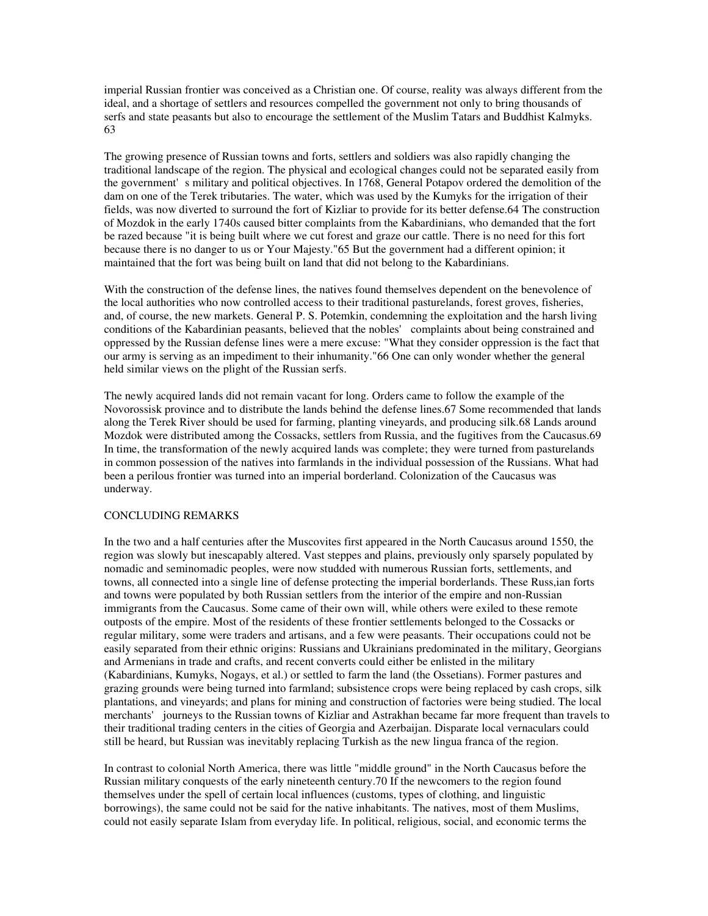imperial Russian frontier was conceived as a Christian one. Of course, reality was always different from the ideal, and a shortage of settlers and resources compelled the government not only to bring thousands of serfs and state peasants but also to encourage the settlement of the Muslim Tatars and Buddhist Kalmyks. 63

The growing presence of Russian towns and forts, settlers and soldiers was also rapidly changing the traditional landscape of the region. The physical and ecological changes could not be separated easily from the government's military and political objectives. In 1768, General Potapov ordered the demolition of the dam on one of the Terek tributaries. The water, which was used by the Kumyks for the irrigation of their fields, was now diverted to surround the fort of Kizliar to provide for its better defense.64 The construction of Mozdok in the early 1740s caused bitter complaints from the Kabardinians, who demanded that the fort be razed because "it is being built where we cut forest and graze our cattle. There is no need for this fort because there is no danger to us or Your Majesty."65 But the government had a different opinion; it maintained that the fort was being built on land that did not belong to the Kabardinians.

With the construction of the defense lines, the natives found themselves dependent on the benevolence of the local authorities who now controlled access to their traditional pasturelands, forest groves, fisheries, and, of course, the new markets. General P. S. Potemkin, condemning the exploitation and the harsh living conditions of the Kabardinian peasants, believed that the nobles' complaints about being constrained and oppressed by the Russian defense lines were a mere excuse: "What they consider oppression is the fact that our army is serving as an impediment to their inhumanity."66 One can only wonder whether the general held similar views on the plight of the Russian serfs.

The newly acquired lands did not remain vacant for long. Orders came to follow the example of the Novorossisk province and to distribute the lands behind the defense lines.67 Some recommended that lands along the Terek River should be used for farming, planting vineyards, and producing silk.68 Lands around Mozdok were distributed among the Cossacks, settlers from Russia, and the fugitives from the Caucasus.69 In time, the transformation of the newly acquired lands was complete; they were turned from pasturelands in common possession of the natives into farmlands in the individual possession of the Russians. What had been a perilous frontier was turned into an imperial borderland. Colonization of the Caucasus was underway.

# CONCLUDING REMARKS

In the two and a half centuries after the Muscovites first appeared in the North Caucasus around 1550, the region was slowly but inescapably altered. Vast steppes and plains, previously only sparsely populated by nomadic and seminomadic peoples, were now studded with numerous Russian forts, settlements, and towns, all connected into a single line of defense protecting the imperial borderlands. These Russ,ian forts and towns were populated by both Russian settlers from the interior of the empire and non-Russian immigrants from the Caucasus. Some came of their own will, while others were exiled to these remote outposts of the empire. Most of the residents of these frontier settlements belonged to the Cossacks or regular military, some were traders and artisans, and a few were peasants. Their occupations could not be easily separated from their ethnic origins: Russians and Ukrainians predominated in the military, Georgians and Armenians in trade and crafts, and recent converts could either be enlisted in the military (Kabardinians, Kumyks, Nogays, et al.) or settled to farm the land (the Ossetians). Former pastures and grazing grounds were being turned into farmland; subsistence crops were being replaced by cash crops, silk plantations, and vineyards; and plans for mining and construction of factories were being studied. The local merchants' journeys to the Russian towns of Kizliar and Astrakhan became far more frequent than travels to their traditional trading centers in the cities of Georgia and Azerbaijan. Disparate local vernaculars could still be heard, but Russian was inevitably replacing Turkish as the new lingua franca of the region.

In contrast to colonial North America, there was little "middle ground" in the North Caucasus before the Russian military conquests of the early nineteenth century.70 If the newcomers to the region found themselves under the spell of certain local influences (customs, types of clothing, and linguistic borrowings), the same could not be said for the native inhabitants. The natives, most of them Muslims, could not easily separate Islam from everyday life. In political, religious, social, and economic terms the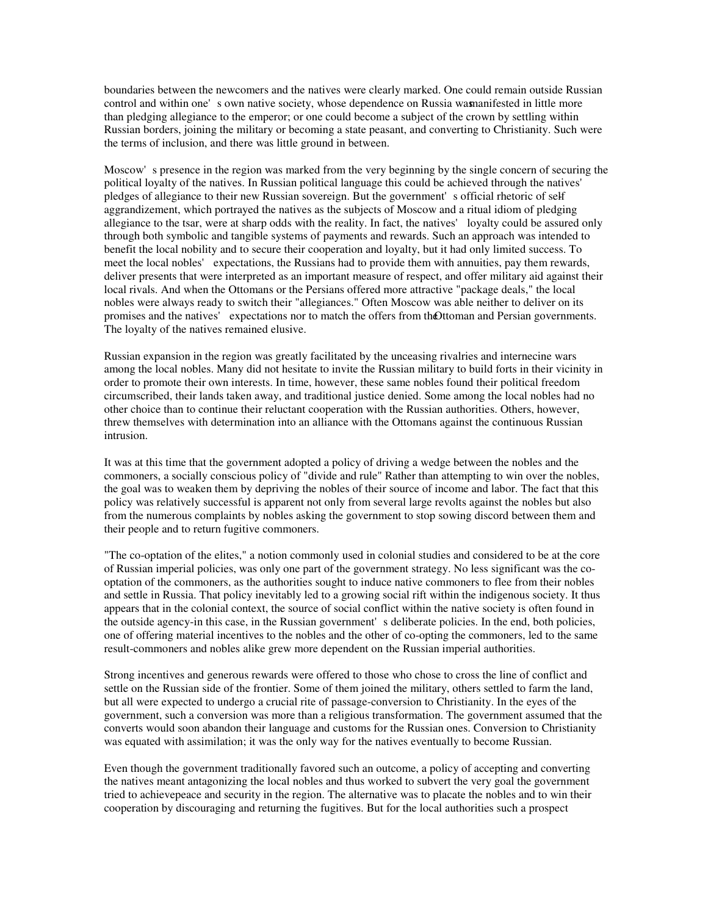boundaries between the newcomers and the natives were clearly marked. One could remain outside Russian control and within one's own native society, whose dependence on Russia wasmanifested in little more than pledging allegiance to the emperor; or one could become a subject of the crown by settling within Russian borders, joining the military or becoming a state peasant, and converting to Christianity. Such were the terms of inclusion, and there was little ground in between.

Moscow's presence in the region was marked from the very beginning by the single concern of securing the political loyalty of the natives. In Russian political language this could be achieved through the natives' pledges of allegiance to their new Russian sovereign. But the government's official rhetoric of self aggrandizement, which portrayed the natives as the subjects of Moscow and a ritual idiom of pledging allegiance to the tsar, were at sharp odds with the reality. In fact, the natives' loyalty could be assured only through both symbolic and tangible systems of payments and rewards. Such an approach was intended to benefit the local nobility and to secure their cooperation and loyalty, but it had only limited success. To meet the local nobles' expectations, the Russians had to provide them with annuities, pay them rewards, deliver presents that were interpreted as an important measure of respect, and offer military aid against their local rivals. And when the Ottomans or the Persians offered more attractive "package deals," the local nobles were always ready to switch their "allegiances." Often Moscow was able neither to deliver on its promises and the natives' expectations nor to match the offers from theOttoman and Persian governments. The loyalty of the natives remained elusive.

Russian expansion in the region was greatly facilitated by the unceasing rivalries and internecine wars among the local nobles. Many did not hesitate to invite the Russian military to build forts in their vicinity in order to promote their own interests. In time, however, these same nobles found their political freedom circumscribed, their lands taken away, and traditional justice denied. Some among the local nobles had no other choice than to continue their reluctant cooperation with the Russian authorities. Others, however, threw themselves with determination into an alliance with the Ottomans against the continuous Russian intrusion.

It was at this time that the government adopted a policy of driving a wedge between the nobles and the commoners, a socially conscious policy of "divide and rule" Rather than attempting to win over the nobles, the goal was to weaken them by depriving the nobles of their source of income and labor. The fact that this policy was relatively successful is apparent not only from several large revolts against the nobles but also from the numerous complaints by nobles asking the government to stop sowing discord between them and their people and to return fugitive commoners.

"The co-optation of the elites," a notion commonly used in colonial studies and considered to be at the core of Russian imperial policies, was only one part of the government strategy. No less significant was the cooptation of the commoners, as the authorities sought to induce native commoners to flee from their nobles and settle in Russia. That policy inevitably led to a growing social rift within the indigenous society. It thus appears that in the colonial context, the source of social conflict within the native society is often found in the outside agency-in this case, in the Russian government's deliberate policies. In the end, both policies, one of offering material incentives to the nobles and the other of co-opting the commoners, led to the same result-commoners and nobles alike grew more dependent on the Russian imperial authorities.

Strong incentives and generous rewards were offered to those who chose to cross the line of conflict and settle on the Russian side of the frontier. Some of them joined the military, others settled to farm the land, but all were expected to undergo a crucial rite of passage-conversion to Christianity. In the eyes of the government, such a conversion was more than a religious transformation. The government assumed that the converts would soon abandon their language and customs for the Russian ones. Conversion to Christianity was equated with assimilation; it was the only way for the natives eventually to become Russian.

Even though the government traditionally favored such an outcome, a policy of accepting and converting the natives meant antagonizing the local nobles and thus worked to subvert the very goal the government tried to achievepeace and security in the region. The alternative was to placate the nobles and to win their cooperation by discouraging and returning the fugitives. But for the local authorities such a prospect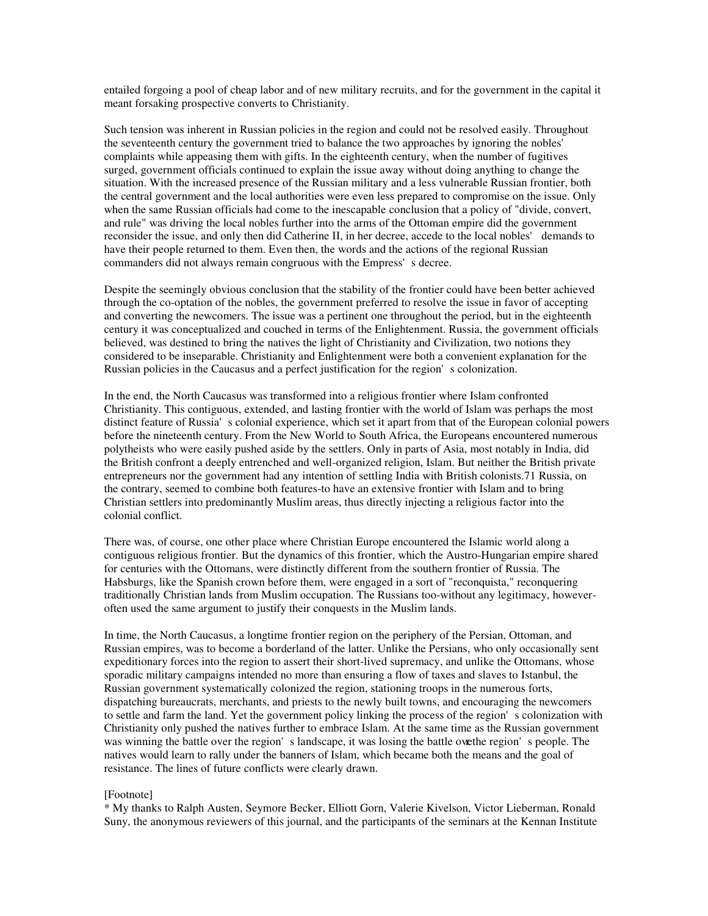entailed forgoing a pool of cheap labor and of new military recruits, and for the government in the capital it meant forsaking prospective converts to Christianity.

Such tension was inherent in Russian policies in the region and could not be resolved easily. Throughout the seventeenth century the government tried to balance the two approaches by ignoring the nobles' complaints while appeasing them with gifts. In the eighteenth century, when the number of fugitives surged, government officials continued to explain the issue away without doing anything to change the situation. With the increased presence of the Russian military and a less vulnerable Russian frontier, both the central government and the local authorities were even less prepared to compromise on the issue. Only when the same Russian officials had come to the inescapable conclusion that a policy of "divide, convert, and rule" was driving the local nobles further into the arms of the Ottoman empire did the government reconsider the issue, and only then did Catherine II, in her decree, accede to the local nobles' demands to have their people returned to them. Even then, the words and the actions of the regional Russian commanders did not always remain congruous with the Empress' s decree.

Despite the seemingly obvious conclusion that the stability of the frontier could have been better achieved through the co-optation of the nobles, the government preferred to resolve the issue in favor of accepting and converting the newcomers. The issue was a pertinent one throughout the period, but in the eighteenth century it was conceptualized and couched in terms of the Enlightenment. Russia, the government officials believed, was destined to bring the natives the light of Christianity and Civilization, two notions they considered to be inseparable. Christianity and Enlightenment were both a convenient explanation for the Russian policies in the Caucasus and a perfect justification for the region's colonization.

In the end, the North Caucasus was transformed into a religious frontier where Islam confronted Christianity. This contiguous, extended, and lasting frontier with the world of Islam was perhaps the most distinct feature of Russia's colonial experience, which set it apart from that of the European colonial powers before the nineteenth century. From the New World to South Africa, the Europeans encountered numerous polytheists who were easily pushed aside by the settlers. Only in parts of Asia, most notably in India, did the British confront a deeply entrenched and well-organized religion, Islam. But neither the British private entrepreneurs nor the government had any intention of settling India with British colonists.71 Russia, on the contrary, seemed to combine both features-to have an extensive frontier with Islam and to bring Christian settlers into predominantly Muslim areas, thus directly injecting a religious factor into the colonial conflict.

There was, of course, one other place where Christian Europe encountered the Islamic world along a contiguous religious frontier. But the dynamics of this frontier, which the Austro-Hungarian empire shared for centuries with the Ottomans, were distinctly different from the southern frontier of Russia. The Habsburgs, like the Spanish crown before them, were engaged in a sort of "reconquista," reconquering traditionally Christian lands from Muslim occupation. The Russians too-without any legitimacy, howeveroften used the same argument to justify their conquests in the Muslim lands.

In time, the North Caucasus, a longtime frontier region on the periphery of the Persian, Ottoman, and Russian empires, was to become a borderland of the latter. Unlike the Persians, who only occasionally sent expeditionary forces into the region to assert their short-lived supremacy, and unlike the Ottomans, whose sporadic military campaigns intended no more than ensuring a flow of taxes and slaves to Istanbul, the Russian government systematically colonized the region, stationing troops in the numerous forts, dispatching bureaucrats, merchants, and priests to the newly built towns, and encouraging the newcomers to settle and farm the land. Yet the government policy linking the process of the region's colonization with Christianity only pushed the natives further to embrace Islam. At the same time as the Russian government was winning the battle over the region's landscape, it was losing the battle over the region's people. The natives would learn to rally under the banners of Islam, which became both the means and the goal of resistance. The lines of future conflicts were clearly drawn.

## [Footnote]

\* My thanks to Ralph Austen, Seymore Becker, Elliott Gorn, Valerie Kivelson, Victor Lieberman, Ronald Suny, the anonymous reviewers of this journal, and the participants of the seminars at the Kennan Institute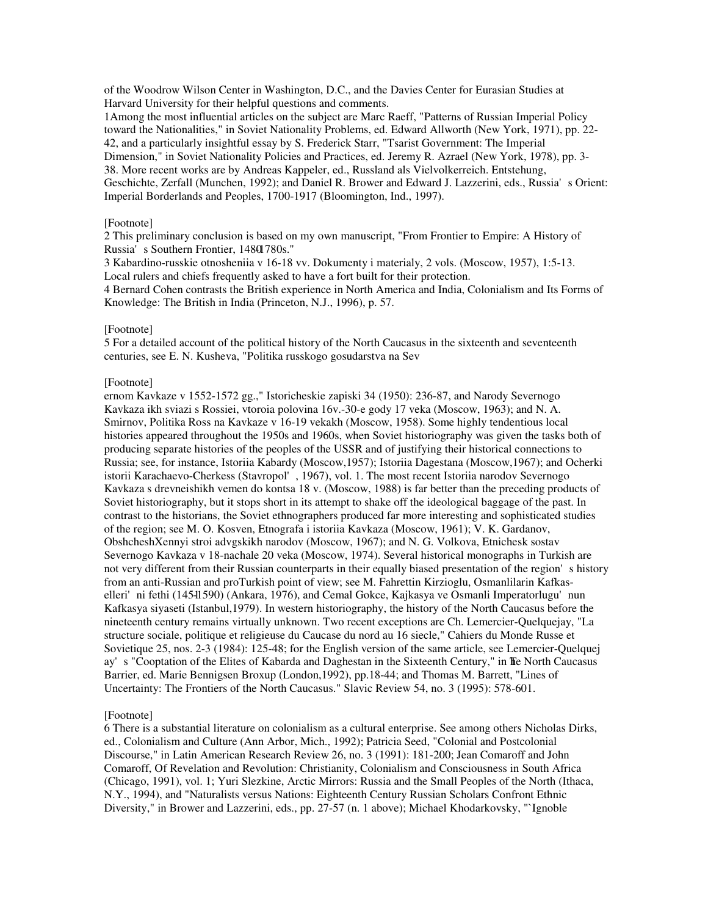of the Woodrow Wilson Center in Washington, D.C., and the Davies Center for Eurasian Studies at Harvard University for their helpful questions and comments.

1Among the most influential articles on the subject are Marc Raeff, "Patterns of Russian Imperial Policy toward the Nationalities," in Soviet Nationality Problems, ed. Edward Allworth (New York, 1971), pp. 22- 42, and a particularly insightful essay by S. Frederick Starr, "Tsarist Government: The Imperial Dimension," in Soviet Nationality Policies and Practices, ed. Jeremy R. Azrael (New York, 1978), pp. 3- 38. More recent works are by Andreas Kappeler, ed., Russland als Vielvolkerreich. Entstehung, Geschichte, Zerfall (Munchen, 1992); and Daniel R. Brower and Edward J. Lazzerini, eds., Russia's Orient: Imperial Borderlands and Peoples, 1700-1917 (Bloomington, Ind., 1997).

#### [Footnote]

2 This preliminary conclusion is based on my own manuscript, "From Frontier to Empire: A History of Russia's Southern Frontier, 1480 780s."

3 Kabardino-russkie otnosheniia v 16-18 vv. Dokumenty i materialy, 2 vols. (Moscow, 1957), 1:5-13. Local rulers and chiefs frequently asked to have a fort built for their protection.

4 Bernard Cohen contrasts the British experience in North America and India, Colonialism and Its Forms of Knowledge: The British in India (Princeton, N.J., 1996), p. 57.

#### [Footnote]

5 For a detailed account of the political history of the North Caucasus in the sixteenth and seventeenth centuries, see E. N. Kusheva, "Politika russkogo gosudarstva na Sev

## [Footnote]

ernom Kavkaze v 1552-1572 gg.," Istoricheskie zapiski 34 (1950): 236-87, and Narody Severnogo Kavkaza ikh sviazi s Rossiei, vtoroia polovina 16v.-30-e gody 17 veka (Moscow, 1963); and N. A. Smirnov, Politika Ross na Kavkaze v 16-19 vekakh (Moscow, 1958). Some highly tendentious local histories appeared throughout the 1950s and 1960s, when Soviet historiography was given the tasks both of producing separate histories of the peoples of the USSR and of justifying their historical connections to Russia; see, for instance, Istoriia Kabardy (Moscow,1957); Istoriia Dagestana (Moscow,1967); and Ocherki istorii Karachaevo-Cherkess (Stavropol', 1967), vol. 1. The most recent Istoriia narodov Severnogo Kavkaza s drevneishikh vemen do kontsa 18 v. (Moscow, 1988) is far better than the preceding products of Soviet historiography, but it stops short in its attempt to shake off the ideological baggage of the past. In contrast to the historians, the Soviet ethnographers produced far more interesting and sophisticated studies of the region; see M. O. Kosven, Etnografa i istoriia Kavkaza (Moscow, 1961); V. K. Gardanov, ObshcheshXennyi stroi advgskikh narodov (Moscow, 1967); and N. G. Volkova, Etnichesk sostav Severnogo Kavkaza v 18-nachale 20 veka (Moscow, 1974). Several historical monographs in Turkish are not very different from their Russian counterparts in their equally biased presentation of the region's history from an anti-Russian and proTurkish point of view; see M. Fahrettin Kirzioglu, Osmanlilarin Kafkaselleri'ni fethi (14541590) (Ankara, 1976), and Cemal Gokce, Kajkasya ve Osmanli Imperatorlugu'nun Kafkasya siyaseti (Istanbul,1979). In western historiography, the history of the North Caucasus before the nineteenth century remains virtually unknown. Two recent exceptions are Ch. Lemercier-Quelquejay, "La structure sociale, politique et religieuse du Caucase du nord au 16 siecle," Cahiers du Monde Russe et Sovietique 25, nos. 2-3 (1984): 125-48; for the English version of the same article, see Lemercier-Quelquej ay's "Cooptation of the Elites of Kabarda and Daghestan in the Sixteenth Century," in The North Caucasus Barrier, ed. Marie Bennigsen Broxup (London,1992), pp.18-44; and Thomas M. Barrett, "Lines of Uncertainty: The Frontiers of the North Caucasus." Slavic Review 54, no. 3 (1995): 578-601.

#### [Footnote]

6 There is a substantial literature on colonialism as a cultural enterprise. See among others Nicholas Dirks, ed., Colonialism and Culture (Ann Arbor, Mich., 1992); Patricia Seed, "Colonial and Postcolonial Discourse," in Latin American Research Review 26, no. 3 (1991): 181-200; Jean Comaroff and John Comaroff, Of Revelation and Revolution: Christianity, Colonialism and Consciousness in South Africa (Chicago, 1991), vol. 1; Yuri Slezkine, Arctic Mirrors: Russia and the Small Peoples of the North (Ithaca, N.Y., 1994), and "Naturalists versus Nations: Eighteenth Century Russian Scholars Confront Ethnic Diversity," in Brower and Lazzerini, eds., pp. 27-57 (n. 1 above); Michael Khodarkovsky, "`Ignoble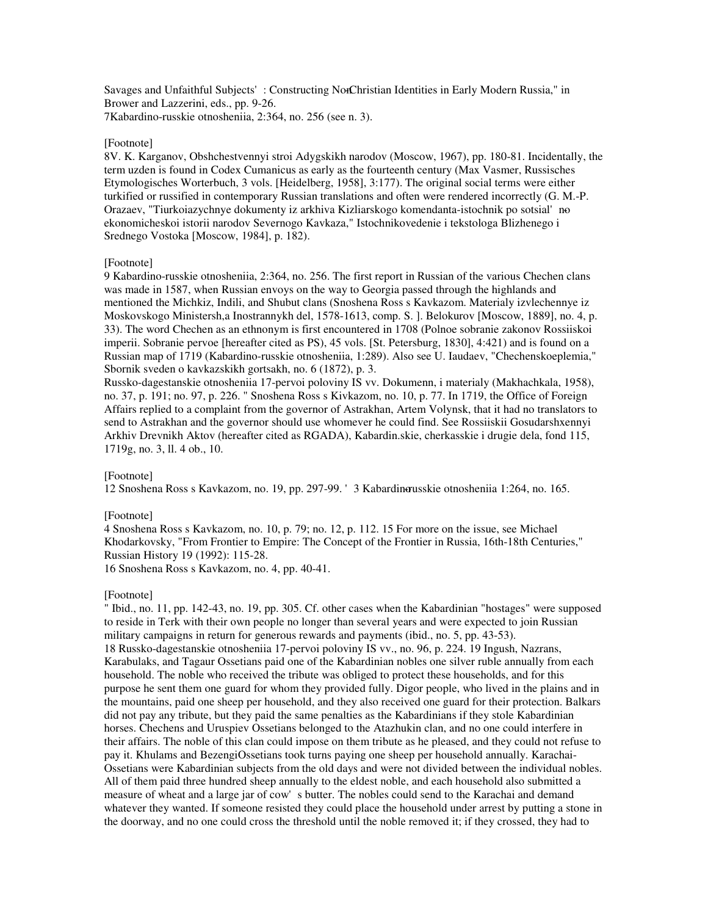Savages and Unfaithful Subjects': Constructing NotChristian Identities in Early Modern Russia," in Brower and Lazzerini, eds., pp. 9-26.

7Kabardino-russkie otnosheniia, 2:364, no. 256 (see n. 3).

# [Footnote]

8V. K. Karganov, Obshchestvennyi stroi Adygskikh narodov (Moscow, 1967), pp. 180-81. Incidentally, the term uzden is found in Codex Cumanicus as early as the fourteenth century (Max Vasmer, Russisches Etymologisches Worterbuch, 3 vols. [Heidelberg, 1958], 3:177). The original social terms were either turkified or russified in contemporary Russian translations and often were rendered incorrectly (G. M.-P. Orazaev, "Tiurkoiazychnye dokumenty iz arkhiva Kizliarskogo komendanta-istochnik po sotsial'n-o ekonomicheskoi istorii narodov Severnogo Kavkaza," Istochnikovedenie i tekstologa Blizhenego i Srednego Vostoka [Moscow, 1984], p. 182).

# [Footnote]

9 Kabardino-russkie otnosheniia, 2:364, no. 256. The first report in Russian of the various Chechen clans was made in 1587, when Russian envoys on the way to Georgia passed through the highlands and mentioned the Michkiz, Indili, and Shubut clans (Snoshena Ross s Kavkazom. Materialy izvlechennye iz Moskovskogo Ministersh,a Inostrannykh del, 1578-1613, comp. S. ]. Belokurov [Moscow, 1889], no. 4, p. 33). The word Chechen as an ethnonym is first encountered in 1708 (Polnoe sobranie zakonov Rossiiskoi imperii. Sobranie pervoe [hereafter cited as PS), 45 vols. [St. Petersburg, 1830], 4:421) and is found on a Russian map of 1719 (Kabardino-russkie otnosheniia, 1:289). Also see U. Iaudaev, "Chechenskoeplemia," Sbornik sveden o kavkazskikh gortsakh, no. 6 (1872), p. 3.

Russko-dagestanskie otnosheniia 17-pervoi poloviny IS vv. Dokumenn, i materialy (Makhachkala, 1958), no. 37, p. 191; no. 97, p. 226. " Snoshena Ross s Kivkazom, no. 10, p. 77. In 1719, the Office of Foreign Affairs replied to a complaint from the governor of Astrakhan, Artem Volynsk, that it had no translators to send to Astrakhan and the governor should use whomever he could find. See Rossiiskii Gosudarshxennyi Arkhiv Drevnikh Aktov (hereafter cited as RGADA), Kabardin.skie, cherkasskie i drugie dela, fond 115, 1719g, no. 3, ll. 4 ob., 10.

# [Footnote]

12 Snoshena Ross s Kavkazom, no. 19, pp. 297-99. ' 3 Kabardina usskie otnosheniia 1:264, no. 165.

# [Footnote]

4 Snoshena Ross s Kavkazom, no. 10, p. 79; no. 12, p. 112. 15 For more on the issue, see Michael Khodarkovsky, "From Frontier to Empire: The Concept of the Frontier in Russia, 16th-18th Centuries," Russian History 19 (1992): 115-28.

16 Snoshena Ross s Kavkazom, no. 4, pp. 40-41.

# [Footnote]

" Ibid., no. 11, pp. 142-43, no. 19, pp. 305. Cf. other cases when the Kabardinian "hostages" were supposed to reside in Terk with their own people no longer than several years and were expected to join Russian military campaigns in return for generous rewards and payments (ibid., no. 5, pp. 43-53). 18 Russko-dagestanskie otnosheniia 17-pervoi poloviny IS vv., no. 96, p. 224. 19 Ingush, Nazrans, Karabulaks, and Tagaur Ossetians paid one of the Kabardinian nobles one silver ruble annually from each household. The noble who received the tribute was obliged to protect these households, and for this purpose he sent them one guard for whom they provided fully. Digor people, who lived in the plains and in the mountains, paid one sheep per household, and they also received one guard for their protection. Balkars did not pay any tribute, but they paid the same penalties as the Kabardinians if they stole Kabardinian horses. Chechens and Uruspiev Ossetians belonged to the Atazhukin clan, and no one could interfere in their affairs. The noble of this clan could impose on them tribute as he pleased, and they could not refuse to pay it. Khulams and BezengiOssetians took turns paying one sheep per household annually. Karachai-Ossetians were Kabardinian subjects from the old days and were not divided between the individual nobles. All of them paid three hundred sheep annually to the eldest noble, and each household also submitted a measure of wheat and a large jar of cow's butter. The nobles could send to the Karachai and demand whatever they wanted. If someone resisted they could place the household under arrest by putting a stone in the doorway, and no one could cross the threshold until the noble removed it; if they crossed, they had to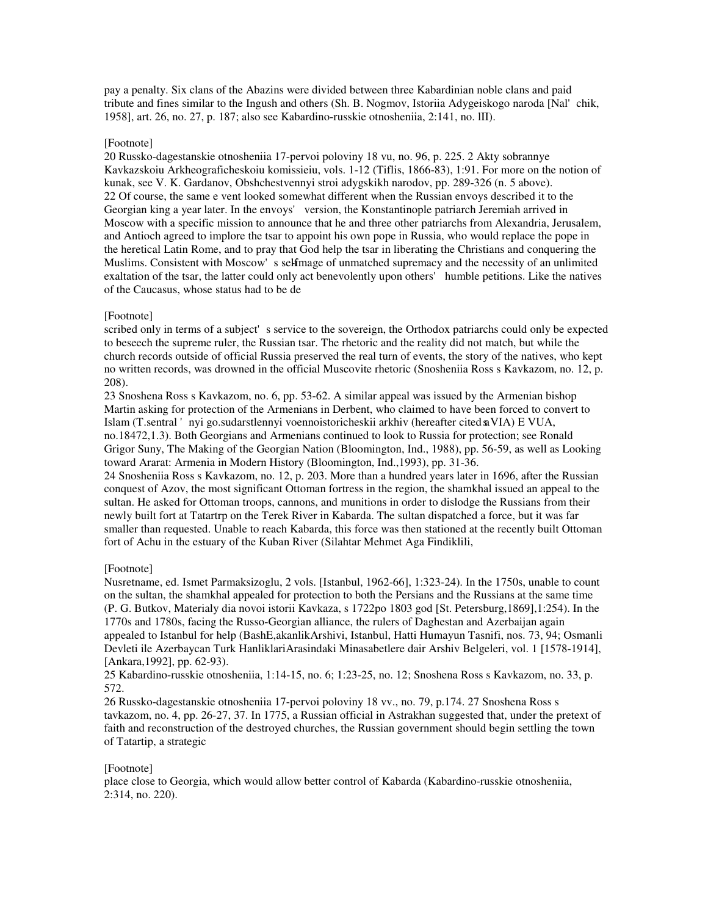pay a penalty. Six clans of the Abazins were divided between three Kabardinian noble clans and paid tribute and fines similar to the Ingush and others (Sh. B. Nogmov, Istoriia Adygeiskogo naroda [Nal'chik, 1958], art. 26, no. 27, p. 187; also see Kabardino-russkie otnosheniia, 2:141, no. lII).

### [Footnote]

20 Russko-dagestanskie otnosheniia 17-pervoi poloviny 18 vu, no. 96, p. 225. 2 Akty sobrannye Kavkazskoiu Arkheograficheskoiu komissieiu, vols. 1-12 (Tiflis, 1866-83), 1:91. For more on the notion of kunak, see V. K. Gardanov, Obshchestvennyi stroi adygskikh narodov, pp. 289-326 (n. 5 above). 22 Of course, the same e vent looked somewhat different when the Russian envoys described it to the Georgian king a year later. In the envoys' version, the Konstantinople patriarch Jeremiah arrived in Moscow with a specific mission to announce that he and three other patriarchs from Alexandria, Jerusalem, and Antioch agreed to implore the tsar to appoint his own pope in Russia, who would replace the pope in the heretical Latin Rome, and to pray that God help the tsar in liberating the Christians and conquering the Muslims. Consistent with Moscow's selfmage of unmatched supremacy and the necessity of an unlimited exaltation of the tsar, the latter could only act benevolently upon others' humble petitions. Like the natives of the Caucasus, whose status had to be de

### [Footnote]

scribed only in terms of a subject's service to the sovereign, the Orthodox patriarchs could only be expected to beseech the supreme ruler, the Russian tsar. The rhetoric and the reality did not match, but while the church records outside of official Russia preserved the real turn of events, the story of the natives, who kept no written records, was drowned in the official Muscovite rhetoric (Snosheniia Ross s Kavkazom, no. 12, p. 208).

23 Snoshena Ross s Kavkazom, no. 6, pp. 53-62. A similar appeal was issued by the Armenian bishop Martin asking for protection of the Armenians in Derbent, who claimed to have been forced to convert to Islam (T.sentral 'nyi go.sudarstlennyi voennoistoricheskii arkhiv (hereafter cited a VIA) E VUA, no.18472,1.3). Both Georgians and Armenians continued to look to Russia for protection; see Ronald Grigor Suny, The Making of the Georgian Nation (Bloomington, Ind., 1988), pp. 56-59, as well as Looking toward Ararat: Armenia in Modern History (Bloomington, Ind.,1993), pp. 31-36.

24 Snosheniia Ross s Kavkazom, no. 12, p. 203. More than a hundred years later in 1696, after the Russian conquest of Azov, the most significant Ottoman fortress in the region, the shamkhal issued an appeal to the sultan. He asked for Ottoman troops, cannons, and munitions in order to dislodge the Russians from their newly built fort at Tatartrp on the Terek River in Kabarda. The sultan dispatched a force, but it was far smaller than requested. Unable to reach Kabarda, this force was then stationed at the recently built Ottoman fort of Achu in the estuary of the Kuban River (Silahtar Mehmet Aga Findiklili,

#### [Footnote]

Nusretname, ed. Ismet Parmaksizoglu, 2 vols. [Istanbul, 1962-66], 1:323-24). In the 1750s, unable to count on the sultan, the shamkhal appealed for protection to both the Persians and the Russians at the same time (P. G. Butkov, Materialy dia novoi istorii Kavkaza, s 1722po 1803 god [St. Petersburg,1869],1:254). In the 1770s and 1780s, facing the Russo-Georgian alliance, the rulers of Daghestan and Azerbaijan again appealed to Istanbul for help (BashE,akanlikArshivi, Istanbul, Hatti Humayun Tasnifi, nos. 73, 94; Osmanli Devleti ile Azerbaycan Turk HanliklariArasindaki Minasabetlere dair Arshiv Belgeleri, vol. 1 [1578-1914], [Ankara,1992], pp. 62-93).

25 Kabardino-russkie otnosheniia, 1:14-15, no. 6; 1:23-25, no. 12; Snoshena Ross s Kavkazom, no. 33, p. 572.

26 Russko-dagestanskie otnosheniia 17-pervoi poloviny 18 vv., no. 79, p.174. 27 Snoshena Ross s tavkazom, no. 4, pp. 26-27, 37. In 1775, a Russian official in Astrakhan suggested that, under the pretext of faith and reconstruction of the destroyed churches, the Russian government should begin settling the town of Tatartip, a strategic

#### [Footnote]

place close to Georgia, which would allow better control of Kabarda (Kabardino-russkie otnosheniia, 2:314, no. 220).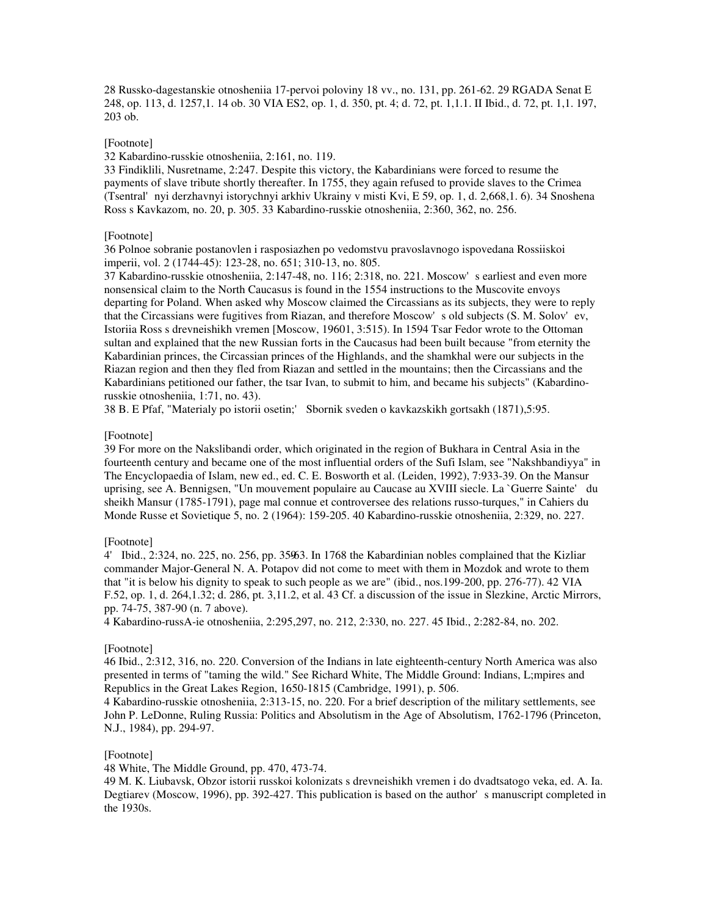28 Russko-dagestanskie otnosheniia 17-pervoi poloviny 18 vv., no. 131, pp. 261-62. 29 RGADA Senat E 248, op. 113, d. 1257,1. 14 ob. 30 VIA ES2, op. 1, d. 350, pt. 4; d. 72, pt. 1,1.1. II Ibid., d. 72, pt. 1,1. 197, 203 ob.

## [Footnote]

32 Kabardino-russkie otnosheniia, 2:161, no. 119.

33 Findiklili, Nusretname, 2:247. Despite this victory, the Kabardinians were forced to resume the payments of slave tribute shortly thereafter. In 1755, they again refused to provide slaves to the Crimea (Tsentral'nyi derzhavnyi istorychnyi arkhiv Ukrainy v misti Kvi, E 59, op. 1, d. 2,668,1. 6). 34 Snoshena Ross s Kavkazom, no. 20, p. 305. 33 Kabardino-russkie otnosheniia, 2:360, 362, no. 256.

## [Footnote]

36 Polnoe sobranie postanovlen i rasposiazhen po vedomstvu pravoslavnogo ispovedana Rossiiskoi imperii, vol. 2 (1744-45): 123-28, no. 651; 310-13, no. 805.

37 Kabardino-russkie otnosheniia, 2:147-48, no. 116; 2:318, no. 221. Moscow's earliest and even more nonsensical claim to the North Caucasus is found in the 1554 instructions to the Muscovite envoys departing for Poland. When asked why Moscow claimed the Circassians as its subjects, they were to reply that the Circassians were fugitives from Riazan, and therefore Moscow's old subjects (S. M. Solov'ev, Istoriia Ross s drevneishikh vremen [Moscow, 19601, 3:515). In 1594 Tsar Fedor wrote to the Ottoman sultan and explained that the new Russian forts in the Caucasus had been built because "from eternity the Kabardinian princes, the Circassian princes of the Highlands, and the shamkhal were our subjects in the Riazan region and then they fled from Riazan and settled in the mountains; then the Circassians and the Kabardinians petitioned our father, the tsar Ivan, to submit to him, and became his subjects" (Kabardinorusskie otnosheniia, 1:71, no. 43).

38 B. E Pfaf, "Materialy po istorii osetin;' Sbornik sveden o kavkazskikh gortsakh (1871),5:95.

### [Footnote]

39 For more on the Nakslibandi order, which originated in the region of Bukhara in Central Asia in the fourteenth century and became one of the most influential orders of the Sufi Islam, see "Nakshbandiyya" in The Encyclopaedia of Islam, new ed., ed. C. E. Bosworth et al. (Leiden, 1992), 7:933-39. On the Mansur uprising, see A. Bennigsen, "Un mouvement populaire au Caucase au XVIII siecle. La `Guerre Sainte' du sheikh Mansur (1785-1791), page mal connue et controversee des relations russo-turques," in Cahiers du Monde Russe et Sovietique 5, no. 2 (1964): 159-205. 40 Kabardino-russkie otnosheniia, 2:329, no. 227.

#### [Footnote]

4' Ibid., 2:324, no. 225, no. 256, pp. 35-963. In 1768 the Kabardinian nobles complained that the Kizliar commander Major-General N. A. Potapov did not come to meet with them in Mozdok and wrote to them that "it is below his dignity to speak to such people as we are" (ibid., nos.199-200, pp. 276-77). 42 VIA F.52, op. 1, d. 264,1.32; d. 286, pt. 3,11.2, et al. 43 Cf. a discussion of the issue in Slezkine, Arctic Mirrors, pp. 74-75, 387-90 (n. 7 above).

4 Kabardino-russA-ie otnosheniia, 2:295,297, no. 212, 2:330, no. 227. 45 Ibid., 2:282-84, no. 202.

#### [Footnote]

46 Ibid., 2:312, 316, no. 220. Conversion of the Indians in late eighteenth-century North America was also presented in terms of "taming the wild." See Richard White, The Middle Ground: Indians, L;mpires and Republics in the Great Lakes Region, 1650-1815 (Cambridge, 1991), p. 506.

4 Kabardino-russkie otnosheniia, 2:313-15, no. 220. For a brief description of the military settlements, see John P. LeDonne, Ruling Russia: Politics and Absolutism in the Age of Absolutism, 1762-1796 (Princeton, N.J., 1984), pp. 294-97.

#### [Footnote]

48 White, The Middle Ground, pp. 470, 473-74.

49 M. K. Liubavsk, Obzor istorii russkoi kolonizats s drevneishikh vremen i do dvadtsatogo veka, ed. A. Ia. Degtiarev (Moscow, 1996), pp. 392-427. This publication is based on the author's manuscript completed in the 1930s.